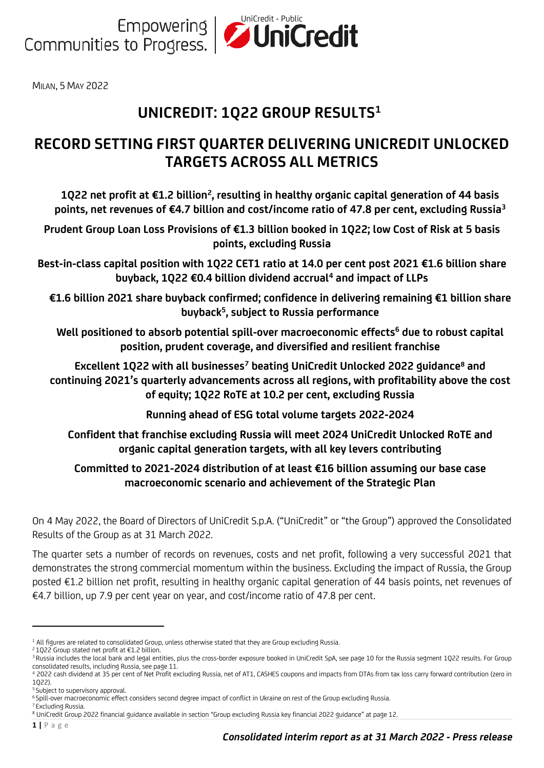

MILAN, 5 MAY 2022

# **UNICREDIT: 1Q22 GROUP RESULTS<sup>1</sup>**

## **RECORD SETTING FIRST QUARTER DELIVERING UNICREDIT UNLOCKED TARGETS ACROSS ALL METRICS**

**1Q22 net profit at €1.2 billion<sup>2</sup> , resulting in healthy organic capital generation of 44 basis points, net revenues of €4.7 billion and cost/income ratio of 47.8 per cent, excluding Russia<sup>3</sup>**

**Prudent Group Loan Loss Provisions of €1.3 billion booked in 1Q22; low Cost of Risk at 5 basis points, excluding Russia**

**Best-in-class capital position with 1Q22 CET1 ratio at 14.0 per cent post 2021 €1.6 billion share buyback, 1Q22 €0.4 billion dividend accrual<sup>4</sup> and impact of LLPs**

**€1.6 billion 2021 share buyback confirmed; confidence in delivering remaining €1 billion share buyback<sup>5</sup> , subject to Russia performance**

**Well positioned to absorb potential spill-over macroeconomic effects<sup>6</sup> due to robust capital position, prudent coverage, and diversified and resilient franchise**

**Excellent 1Q22 with all businesses<sup>7</sup> beating UniCredit Unlocked 2022 guidance<sup>8</sup> and continuing 2021's quarterly advancements across all regions, with profitability above the cost of equity; 1Q22 RoTE at 10.2 per cent, excluding Russia**

**Running ahead of ESG total volume targets 2022-2024**

**Confident that franchise excluding Russia will meet 2024 UniCredit Unlocked RoTE and organic capital generation targets, with all key levers contributing**

### **Committed to 2021-2024 distribution of at least €16 billion assuming our base case macroeconomic scenario and achievement of the Strategic Plan**

On 4 May 2022, the Board of Directors of UniCredit S.p.A. ("UniCredit" or "the Group") approved the Consolidated Results of the Group as at 31 March 2022.

The quarter sets a number of records on revenues, costs and net profit, following a very successful 2021 that demonstrates the strong commercial momentum within the business. Excluding the impact of Russia, the Group posted €1.2 billion net profit, resulting in healthy organic capital generation of 44 basis points, net revenues of €4.7 billion, up 7.9 per cent year on year, and cost/income ratio of 47.8 per cent.

**1 |** P a g e

<sup>1</sup> All figures are related to consolidated Group, unless otherwise stated that they are Group excluding Russia.

<sup>2</sup> 1Q22 Group stated net profit at €1.2 billion.

<sup>&</sup>lt;sup>3</sup> Russia includes the local bank and legal entities, plus the cross-border exposure booked in UniCredit SpA, see page 10 for the Russia segment 1Q22 results. For Group consolidated results, including Russia, see page 11.

<sup>4</sup> 2022 cash dividend at 35 per cent of Net Profit excluding Russia, net of AT1, CASHES coupons and impacts from DTAs from tax loss carry forward contribution (zero in 1Q22).

<sup>5</sup> Subject to supervisory approval.

<sup>&</sup>lt;sup>6</sup> Spill-over macroeconomic effect considers second degree impact of conflict in Ukraine on rest of the Group excluding Russia.

<sup>7</sup> Excluding Russia. <sup>8</sup> UniCredit Group 2022 financial guidance available in section "Group excluding Russia key financial 2022 guidance" at page 12.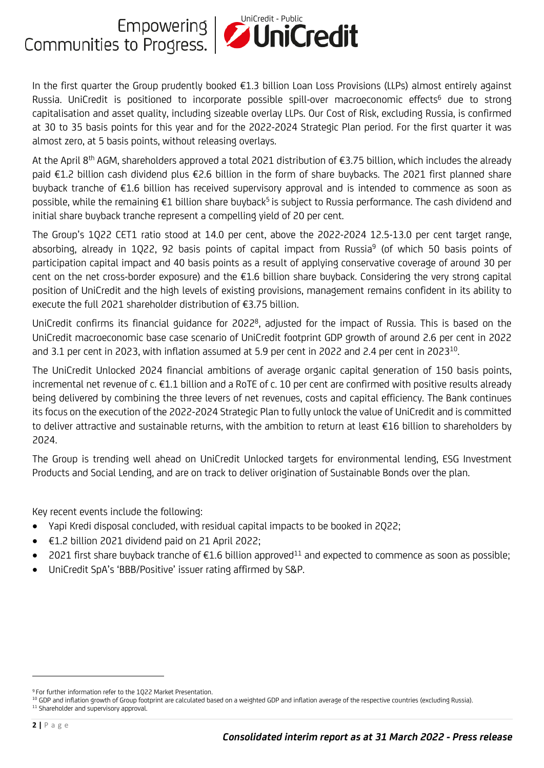

In the first quarter the Group prudently booked €1.3 billion Loan Loss Provisions (LLPs) almost entirely against Russia. UniCredit is positioned to incorporate possible spill-over macroeconomic effects<sup>6</sup> due to strong capitalisation and asset quality, including sizeable overlay LLPs. Our Cost of Risk, excluding Russia, is confirmed at 30 to 35 basis points for this year and for the 2022-2024 Strategic Plan period. For the first quarter it was almost zero, at 5 basis points, without releasing overlays.

At the April 8<sup>th</sup> AGM, shareholders approved a total 2021 distribution of €3.75 billion, which includes the already paid €1.2 billion cash dividend plus €2.6 billion in the form of share buybacks. The 2021 first planned share buyback tranche of €1.6 billion has received supervisory approval and is intended to commence as soon as possible, while the remaining €1 billion share buyback<sup>5</sup> is subject to Russia performance. The cash dividend and initial share buyback tranche represent a compelling yield of 20 per cent.

The Group's 1Q22 CET1 ratio stood at 14.0 per cent, above the 2022-2024 12.5-13.0 per cent target range, absorbing, already in 1Q22, 92 basis points of capital impact from Russia<sup>9</sup> (of which 50 basis points of participation capital impact and 40 basis points as a result of applying conservative coverage of around 30 per cent on the net cross-border exposure) and the €1.6 billion share buyback. Considering the very strong capital position of UniCredit and the high levels of existing provisions, management remains confident in its ability to execute the full 2021 shareholder distribution of €3.75 billion.

UniCredit confirms its financial guidance for 2022<sup>8</sup>, adjusted for the impact of Russia. This is based on the UniCredit macroeconomic base case scenario of UniCredit footprint GDP growth of around 2.6 per cent in 2022 and 3.1 per cent in 2023, with inflation assumed at 5.9 per cent in 2022 and 2.4 per cent in 2023<sup>10</sup>. .

The UniCredit Unlocked 2024 financial ambitions of average organic capital generation of 150 basis points, incremental net revenue of c. €1.1 billion and a RoTE of c. 10 per cent are confirmed with positive results already being delivered by combining the three levers of net revenues, costs and capital efficiency. The Bank continues its focus on the execution of the 2022-2024 Strategic Plan to fully unlock the value of UniCredit and is committed to deliver attractive and sustainable returns, with the ambition to return at least €16 billion to shareholders by 2024.

The Group is trending well ahead on UniCredit Unlocked targets for environmental lending, ESG Investment Products and Social Lending, and are on track to deliver origination of Sustainable Bonds over the plan.

Key recent events include the following:

- Yapi Kredi disposal concluded, with residual capital impacts to be booked in 2Q22;
- €1.2 billion 2021 dividend paid on 21 April 2022;
- 2021 first share buyback tranche of €1.6 billion approved<sup>11</sup> and expected to commence as soon as possible;
- UniCredit SpA's 'BBB/Positive' issuer rating affirmed by S&P.

<sup>9</sup> For further information refer to the 1Q22 Market Presentation.

<sup>&</sup>lt;sup>10</sup> GDP and inflation growth of Group footprint are calculated based on a weighted GDP and inflation average of the respective countries (excluding Russia). <sup>11</sup> Shareholder and supervisory approval.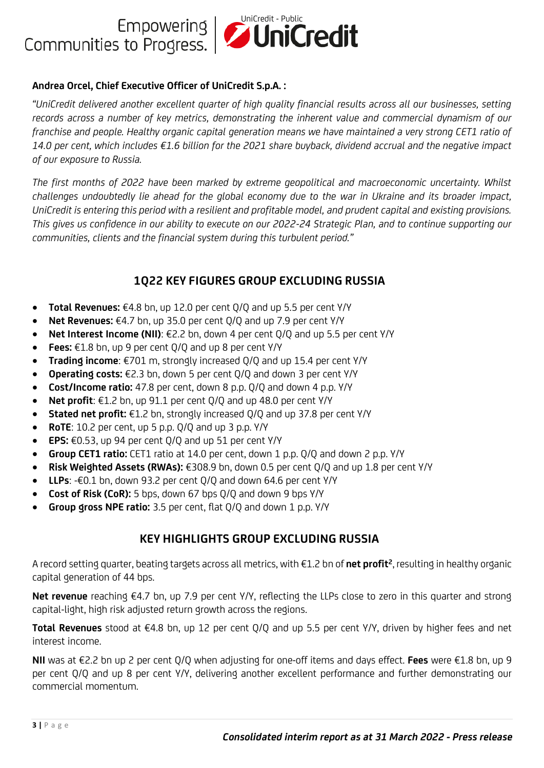

#### **Andrea Orcel, Chief Executive Officer of UniCredit S.p.A. :**

*"UniCredit delivered another excellent quarter of high quality financial results across all our businesses, setting records across a number of key metrics, demonstrating the inherent value and commercial dynamism of our franchise and people. Healthy organic capital generation means we have maintained a very strong CET1 ratio of 14.0 per cent, which includes €1.6 billion for the 2021 share buyback, dividend accrual and the negative impact of our exposure to Russia.* 

*The first months of 2022 have been marked by extreme geopolitical and macroeconomic uncertainty. Whilst challenges undoubtedly lie ahead for the global economy due to the war in Ukraine and its broader impact, UniCredit is entering this period with a resilient and profitable model, and prudent capital and existing provisions. This gives us confidence in our ability to execute on our 2022-24 Strategic Plan, and to continue supporting our communities, clients and the financial system during this turbulent period."* 

### **1Q22 KEY FIGURES GROUP EXCLUDING RUSSIA**

- **Total Revenues:** €4.8 bn, up 12.0 per cent Q/Q and up 5.5 per cent Y/Y
- **Net Revenues:** €4.7 bn, up 35.0 per cent Q/Q and up 7.9 per cent Y/Y
- **Net Interest Income (NII)**: €2.2 bn, down 4 per cent Q/Q and up 5.5 per cent Y/Y
- **Fees:** €1.8 bn, up 9 per cent Q/Q and up 8 per cent Y/Y
- **Trading income**: €701 m, strongly increased Q/Q and up 15.4 per cent Y/Y
- **Operating costs:** €2.3 bn, down 5 per cent Q/Q and down 3 per cent Y/Y
- **Cost/Income ratio:** 47.8 per cent, down 8 p.p. Q/Q and down 4 p.p. Y/Y
- **Net profit**: €1.2 bn, up 91.1 per cent Q/Q and up 48.0 per cent Y/Y
- **Stated net profit:** €1.2 bn, strongly increased Q/Q and up 37.8 per cent Y/Y
- **RoTE**: 10.2 per cent, up 5 p.p. Q/Q and up 3 p.p. Y/Y
- **EPS:** €0.53, up 94 per cent Q/Q and up 51 per cent Y/Y
- **Group CET1 ratio:** CET1 ratio at 14.0 per cent, down 1 p.p. Q/Q and down 2 p.p. Y/Y
- **Risk Weighted Assets (RWAs):** €308.9 bn, down 0.5 per cent Q/Q and up 1.8 per cent Y/Y
- **LLPs**: -€0.1 bn, down 93.2 per cent Q/Q and down 64.6 per cent Y/Y
- **Cost of Risk (CoR):** 5 bps, down 67 bps Q/Q and down 9 bps Y/Y
- **Group gross NPE ratio:** 3.5 per cent, flat Q/Q and down 1 p.p. Y/Y

#### **KEY HIGHLIGHTS GROUP EXCLUDING RUSSIA**

A record setting quarter, beating targets across all metrics, with €1.2 bn of **net profit<sup>2</sup>** , resulting in healthy organic capital generation of 44 bps.

**Net revenue** reaching €4.7 bn, up 7.9 per cent Y/Y, reflecting the LLPs close to zero in this quarter and strong capital-light, high risk adjusted return growth across the regions.

**Total Revenues** stood at €4.8 bn, up 12 per cent Q/Q and up 5.5 per cent Y/Y, driven by higher fees and net interest income.

**NII** was at €2.2 bn up 2 per cent Q/Q when adjusting for one-off items and days effect. **Fees** were €1.8 bn, up 9 per cent Q/Q and up 8 per cent Y/Y, delivering another excellent performance and further demonstrating our commercial momentum.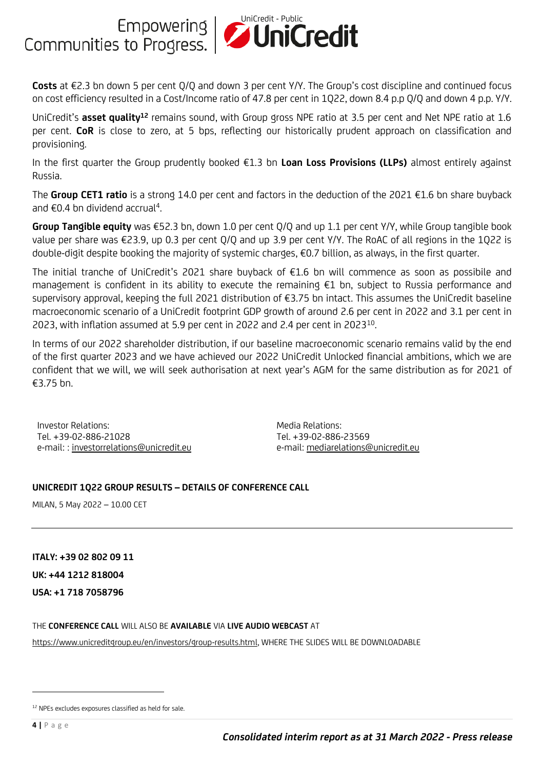

**Costs** at €2.3 bn down 5 per cent Q/Q and down 3 per cent Y/Y. The Group's cost discipline and continued focus on cost efficiency resulted in a Cost/Income ratio of 47.8 per cent in 1Q22, down 8.4 p.p Q/Q and down 4 p.p. Y/Y.

UniCredit's **asset quality<sup>12</sup>** remains sound, with Group gross NPE ratio at 3.5 per cent and Net NPE ratio at 1.6 per cent. **CoR** is close to zero, at 5 bps, reflecting our historically prudent approach on classification and provisioning.

In the first quarter the Group prudently booked €1.3 bn **Loan Loss Provisions (LLPs)** almost entirely against Russia.

The **Group CET1 ratio** is a strong 14.0 per cent and factors in the deduction of the 2021 €1.6 bn share buyback and  $\epsilon$ 0.4 bn dividend accrual<sup>4</sup> .

**Group Tangible equity** was €52.3 bn, down 1.0 per cent Q/Q and up 1.1 per cent Y/Y, while Group tangible book value per share was €23.9, up 0.3 per cent Q/Q and up 3.9 per cent Y/Y. The RoAC of all regions in the 1Q22 is double-digit despite booking the majority of systemic charges, €0.7 billion, as always, in the first quarter.

The initial tranche of UniCredit's 2021 share buyback of €1.6 bn will commence as soon as possibile and management is confident in its ability to execute the remaining €1 bn, subject to Russia performance and supervisory approval, keeping the full 2021 distribution of €3.75 bn intact. This assumes the UniCredit baseline macroeconomic scenario of a UniCredit footprint GDP growth of around 2.6 per cent in 2022 and 3.1 per cent in 2023, with inflation assumed at 5.9 per cent in 2022 and 2.4 per cent in 2023 $^{10}$ . .

In terms of our 2022 shareholder distribution, if our baseline macroeconomic scenario remains valid by the end of the first quarter 2023 and we have achieved our 2022 UniCredit Unlocked financial ambitions, which we are confident that we will, we will seek authorisation at next year's AGM for the same distribution as for 2021 of €3.75 bn.

Investor Relations: Tel. +39-02-886-21028 e-mail: [: investorrelations@unicredit.eu](mailto:investorrelations@unicredit.eu) Media Relations: Tel. +39-02-886-23569 e-mail[: mediarelations@unicredit.eu](mailto:mediarelations@unicredit.eu)

#### **UNICREDIT 1Q22 GROUP RESULTS – DETAILS OF CONFERENCE CALL**

MILAN, 5 May 2022 – 10.00 CET

**ITALY: +39 02 802 09 11 UK: +44 1212 818004 USA: +1 718 7058796**

THE **CONFERENCE CALL** WILL ALSO BE **AVAILABLE** VIA **LIVE AUDIO WEBCAST** AT

[https://www.unicreditgroup.eu/en/investors/group-results.html,](https://www.unicreditgroup.eu/en/investors/group-results.html) WHERE THE SLIDES WILL BE DOWNLOADABLE

<sup>&</sup>lt;sup>12</sup> NPEs excludes exposures classified as held for sale.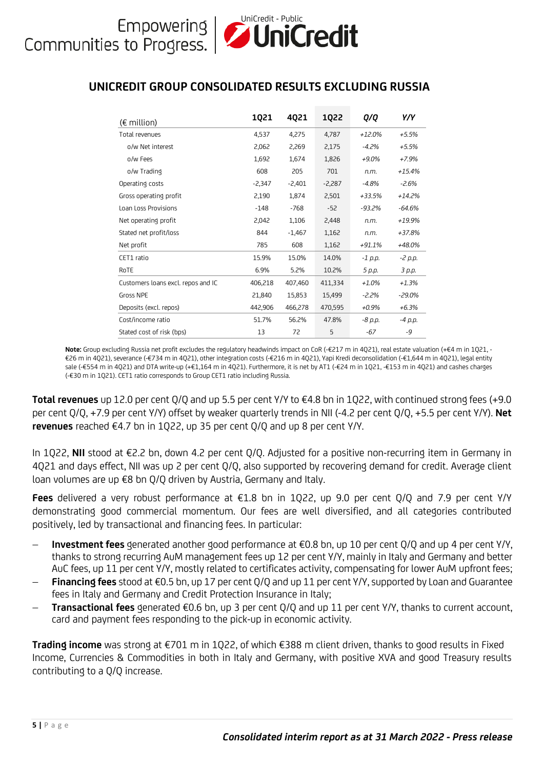### **UNICREDIT GROUP CONSOLIDATED RESULTS EXCLUDING RUSSIA**

| $(\epsilon$ million)               | 1021     | 4021     | 1022     | Q/Q      | Y/Y      |
|------------------------------------|----------|----------|----------|----------|----------|
| Total revenues                     | 4,537    | 4,275    | 4,787    | $+12.0%$ | $+5.5%$  |
| o/w Net interest                   | 2,062    | 2,269    | 2,175    | $-4.2\%$ | $+5.5%$  |
| o/w Fees                           | 1,692    | 1.674    | 1,826    | $+9.0\%$ | $+7.9%$  |
| o/w Trading                        | 608      | 205      | 701      | n.m.     | $+15.4%$ |
| Operating costs                    | $-2,347$ | $-2,401$ | $-2,287$ | $-4.8%$  | $-2.6%$  |
| Gross operating profit             | 2,190    | 1.874    | 2.501    | +33.5%   | $+14.2%$ |
| Loan Loss Provisions               | $-148$   | $-768$   | $-52$    | $-93.2%$ | $-64.6%$ |
| Net operating profit               | 2,042    | 1,106    | 2,448    | n.m.     | +19.9%   |
| Stated net profit/loss             | 844      | $-1,467$ | 1,162    | n.m.     | +37.8%   |
| Net profit                         | 785      | 608      | 1,162    | $+91.1%$ | +48.0%   |
| CET1 ratio                         | 15.9%    | 15.0%    | 14.0%    | -1 p.p.  | -2 p.p.  |
| RoTE                               | 6.9%     | 5.2%     | 10.2%    | 5 p.p.   | 3 p.p.   |
| Customers loans excl. repos and IC | 406.218  | 407.460  | 411.334  | $+1.0%$  | $+1.3%$  |
| <b>Gross NPE</b>                   | 21,840   | 15,853   | 15,499   | -2.2%    | $-29.0%$ |
| Deposits (excl. repos)             | 442,906  | 466,278  | 470,595  | $+0.9%$  | $+6.3%$  |
| Cost/income ratio                  | 51.7%    | 56.2%    | 47.8%    | -8 р.р.  | -4 p.p.  |
| Stated cost of risk (bps)          | 13       | 72       | 5        | $-67$    | -9       |

**Note:** Group excluding Russia net profit excludes the regulatory headwinds impact on CoR (-€217 m in 4Q21), real estate valuation (+€4 m in 1Q21, - €26 m in 4Q21), severance (-€734 m in 4Q21), other integration costs (-€216 m in 4Q21), Yapi Kredi deconsolidation (-€1,644 m in 4Q21), legal entity sale (-€554 m in 4Q21) and DTA write-up (+€1,164 m in 4Q21). Furthermore, it is net by AT1 (-€24 m in 1Q21, -€153 m in 4Q21) and cashes charges (-€30 m in 1Q21). CET1 ratio corresponds to Group CET1 ratio including Russia.

**Total revenues** up 12.0 per cent Q/Q and up 5.5 per cent Y/Y to €4.8 bn in 1Q22, with continued strong fees (+9.0 per cent Q/Q, +7.9 per cent Y/Y) offset by weaker quarterly trends in NII (-4.2 per cent Q/Q, +5.5 per cent Y/Y). **Net revenues** reached €4.7 bn in 1Q22, up 35 per cent Q/Q and up 8 per cent Y/Y.

In 1Q22, **NII** stood at €2.2 bn, down 4.2 per cent Q/Q. Adjusted for a positive non-recurring item in Germany in 4Q21 and days effect, NII was up 2 per cent Q/Q, also supported by recovering demand for credit. Average client loan volumes are up €8 bn Q/Q driven by Austria, Germany and Italy.

**Fees** delivered a very robust performance at €1.8 bn in 1Q22, up 9.0 per cent Q/Q and 7.9 per cent Y/Y demonstrating good commercial momentum. Our fees are well diversified, and all categories contributed positively, led by transactional and financing fees. In particular:

- − **Investment fees** generated another good performance at €0.8 bn, up 10 per cent Q/Q and up 4 per cent Y/Y, thanks to strong recurring AuM management fees up 12 per cent Y/Y, mainly in Italy and Germany and better AuC fees, up 11 per cent Y/Y, mostly related to certificates activity, compensating for lower AuM upfront fees;
- − **Financing fees** stood at €0.5 bn, up 17 per cent Q/Q and up 11 per cent Y/Y, supported by Loan and Guarantee fees in Italy and Germany and Credit Protection Insurance in Italy;
- − **Transactional fees** generated €0.6 bn, up 3 per cent Q/Q and up 11 per cent Y/Y, thanks to current account, card and payment fees responding to the pick-up in economic activity.

**Trading income** was strong at €701 m in 1Q22, of which €388 m client driven, thanks to good results in Fixed Income, Currencies & Commodities in both in Italy and Germany, with positive XVA and good Treasury results contributing to a Q/Q increase.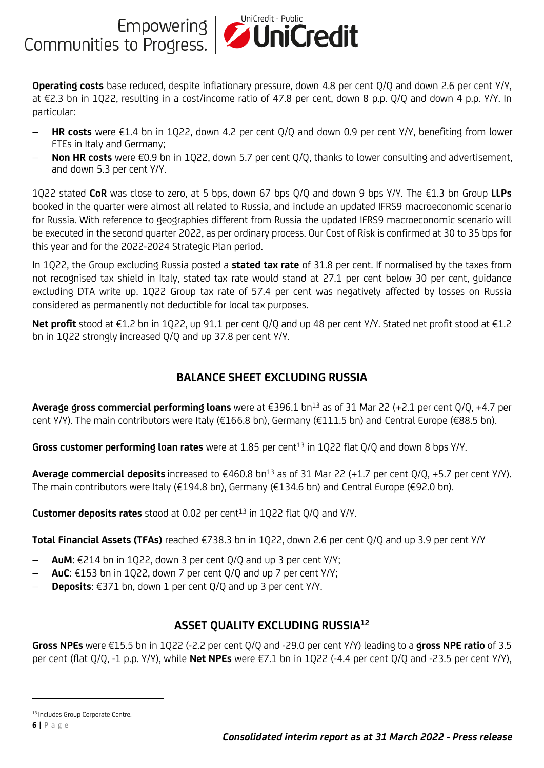**Operating costs** base reduced, despite inflationary pressure, down 4.8 per cent Q/Q and down 2.6 per cent Y/Y, at €2.3 bn in 1Q22, resulting in a cost/income ratio of 47.8 per cent, down 8 p.p. Q/Q and down 4 p.p. Y/Y. In particular:

- − **HR costs** were €1.4 bn in 1Q22, down 4.2 per cent Q/Q and down 0.9 per cent Y/Y, benefiting from lower FTEs in Italy and Germany;
- − **Non HR costs** were €0.9 bn in 1Q22, down 5.7 per cent Q/Q, thanks to lower consulting and advertisement, and down 5.3 per cent Y/Y.

1Q22 stated **CoR** was close to zero, at 5 bps, down 67 bps Q/Q and down 9 bps Y/Y. The €1.3 bn Group **LLPs** booked in the quarter were almost all related to Russia, and include an updated IFRS9 macroeconomic scenario for Russia. With reference to geographies different from Russia the updated IFRS9 macroeconomic scenario will be executed in the second quarter 2022, as per ordinary process. Our Cost of Risk is confirmed at 30 to 35 bps for this year and for the 2022-2024 Strategic Plan period.

In 1Q22, the Group excluding Russia posted a **stated tax rate** of 31.8 per cent. If normalised by the taxes from not recognised tax shield in Italy, stated tax rate would stand at 27.1 per cent below 30 per cent, guidance excluding DTA write up. 1Q22 Group tax rate of 57.4 per cent was negatively affected by losses on Russia considered as permanently not deductible for local tax purposes.

**Net profit** stood at €1.2 bn in 1Q22, up 91.1 per cent Q/Q and up 48 per cent Y/Y. Stated net profit stood at €1.2 bn in 1Q22 strongly increased Q/Q and up 37.8 per cent Y/Y.

### **BALANCE SHEET EXCLUDING RUSSIA**

**Average gross commercial performing loans** were at €396.1 bn<sup>13</sup> as of 31 Mar 22 (+2.1 per cent Q/Q, +4.7 per cent Y/Y). The main contributors were Italy (€166.8 bn), Germany (€111.5 bn) and Central Europe (€88.5 bn).

Gross customer performing loan rates were at 1.85 per cent<sup>13</sup> in 1Q22 flat Q/Q and down 8 bps Y/Y.

**Average commercial deposits** increased to €460.8 bn<sup>13</sup> as of 31 Mar 22 (+1.7 per cent Q/Q, +5.7 per cent Y/Y). The main contributors were Italy (€194.8 bn), Germany (€134.6 bn) and Central Europe (€92.0 bn).

Customer deposits rates stood at 0.02 per cent<sup>13</sup> in 1Q22 flat Q/Q and Y/Y.

**Total Financial Assets (TFAs)** reached €738.3 bn in 1Q22, down 2.6 per cent Q/Q and up 3.9 per cent Y/Y

- − **AuM**: €214 bn in 1Q22, down 3 per cent Q/Q and up 3 per cent Y/Y;
- − **AuC**: €153 bn in 1Q22, down 7 per cent Q/Q and up 7 per cent Y/Y;
- − **Deposits**: €371 bn, down 1 per cent Q/Q and up 3 per cent Y/Y.

### **ASSET QUALITY EXCLUDING RUSSIA<sup>12</sup>**

**Gross NPEs** were €15.5 bn in 1Q22 (-2.2 per cent Q/Q and -29.0 per cent Y/Y) leading to a **gross NPE ratio** of 3.5 per cent (flat Q/Q, -1 p.p. Y/Y), while **Net NPEs** were €7.1 bn in 1Q22 (-4.4 per cent Q/Q and -23.5 per cent Y/Y),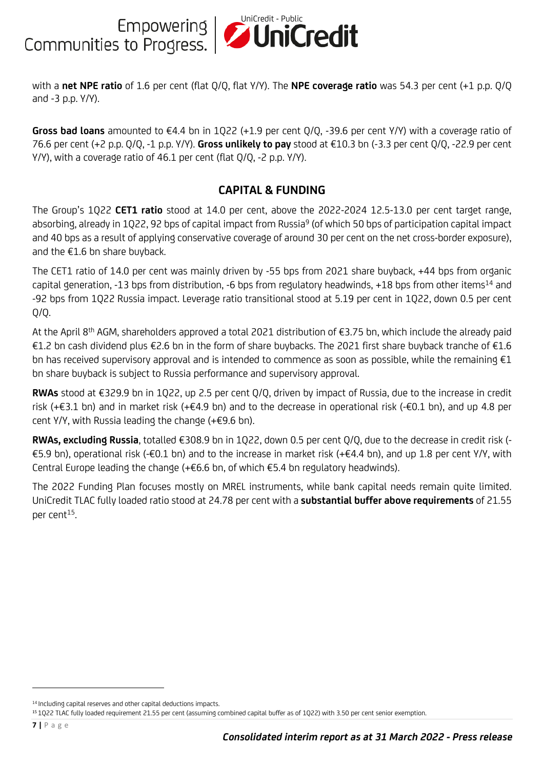Empowering **UniCredit - Public**<br>Communities to Progress.

with a **net NPE ratio** of 1.6 per cent (flat Q/Q, flat Y/Y). The **NPE coverage ratio** was 54.3 per cent (+1 p.p. Q/Q and -3 p.p. Y/Y).

**Gross bad loans** amounted to €4.4 bn in 1Q22 (+1.9 per cent Q/Q, -39.6 per cent Y/Y) with a coverage ratio of 76.6 per cent (+2 p.p. Q/Q, -1 p.p. Y/Y). **Gross unlikely to pay** stood at €10.3 bn (-3.3 per cent Q/Q, -22.9 per cent Y/Y), with a coverage ratio of 46.1 per cent (flat Q/Q, -2 p.p. Y/Y).

#### **CAPITAL & FUNDING**

The Group's 1Q22 **CET1 ratio** stood at 14.0 per cent, above the 2022-2024 12.5-13.0 per cent target range, absorbing, already in 1Q22, 92 bps of capital impact from Russia<sup>9</sup> (of which 50 bps of participation capital impact and 40 bps as a result of applying conservative coverage of around 30 per cent on the net cross-border exposure), and the €1.6 bn share buyback.

The CET1 ratio of 14.0 per cent was mainly driven by -55 bps from 2021 share buyback, +44 bps from organic capital generation, -13 bps from distribution, -6 bps from regulatory headwinds, +18 bps from other items<sup>14</sup> and -92 bps from 1Q22 Russia impact. Leverage ratio transitional stood at 5.19 per cent in 1Q22, down 0.5 per cent Q/Q.

At the April 8<sup>th</sup> AGM, shareholders approved a total 2021 distribution of €3.75 bn, which include the already paid €1.2 bn cash dividend plus €2.6 bn in the form of share buybacks. The 2021 first share buyback tranche of €1.6 bn has received supervisory approval and is intended to commence as soon as possible, while the remaining  $E1$ bn share buyback is subject to Russia performance and supervisory approval.

**RWAs** stood at €329.9 bn in 1Q22, up 2.5 per cent Q/Q, driven by impact of Russia, due to the increase in credit risk (+€3.1 bn) and in market risk (+€4.9 bn) and to the decrease in operational risk (-€0.1 bn), and up 4.8 per cent Y/Y, with Russia leading the change (+€9.6 bn).

**RWAs, excluding Russia**, totalled €308.9 bn in 1Q22, down 0.5 per cent Q/Q, due to the decrease in credit risk (- €5.9 bn), operational risk (-€0.1 bn) and to the increase in market risk (+€4.4 bn), and up 1.8 per cent Y/Y, with Central Europe leading the change (+€6.6 bn, of which €5.4 bn regulatory headwinds).

The 2022 Funding Plan focuses mostly on MREL instruments, while bank capital needs remain quite limited. UniCredit TLAC fully loaded ratio stood at 24.78 per cent with a **substantial buffer above requirements** of 21.55 per cent $15$ . .

<sup>&</sup>lt;sup>14</sup> Including capital reserves and other capital deductions impacts.

<sup>15</sup> 1Q22 TLAC fully loaded requirement 21.55 per cent (assuming combined capital buffer as of 1Q22) with 3.50 per cent senior exemption.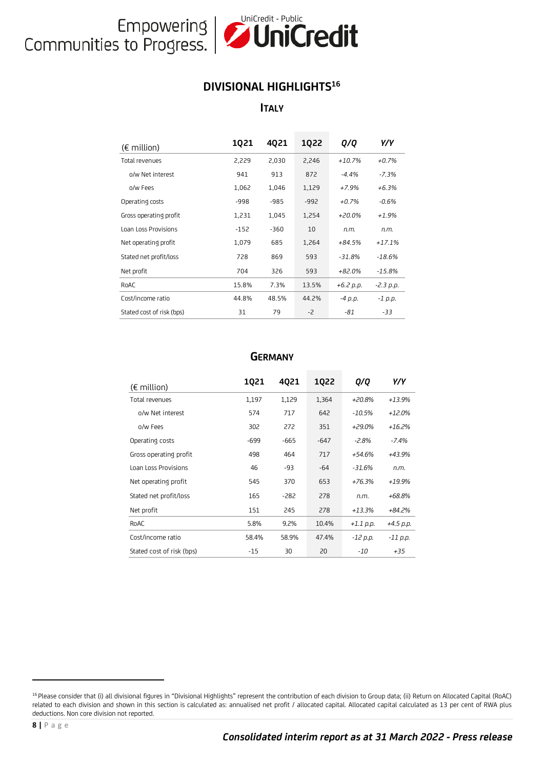

#### **DIVISIONAL HIGHLIGHTS<sup>16</sup>**

**ITALY**

| $(\epsilon$ million)      | 1021   | 4021   | 1022   | Q/Q         | Y/Y         |
|---------------------------|--------|--------|--------|-------------|-------------|
| Total revenues            | 2,229  | 2,030  | 2,246  | $+10.7%$    | $+0.7%$     |
| o/w Net interest          | 941    | 913    | 872    | $-4.4%$     | $-7.3%$     |
| o/w Fees                  | 1,062  | 1,046  | 1,129  | $+7.9%$     | $+6.3%$     |
| Operating costs           | -998   | $-985$ | $-992$ | $+0.7%$     | $-0.6%$     |
| Gross operating profit    | 1,231  | 1,045  | 1,254  | $+20.0%$    | $+1.9%$     |
| Loan Loss Provisions      | $-152$ | $-360$ | 10     | n.m.        | n.m.        |
| Net operating profit      | 1,079  | 685    | 1,264  | $+84.5%$    | $+17.1%$    |
| Stated net profit/loss    | 728    | 869    | 593    | $-31.8%$    | $-18.6%$    |
| Net profit                | 704    | 326    | 593    | $+82.0%$    | $-15.8%$    |
| RoAC                      | 15.8%  | 7.3%   | 13.5%  | $+6.2 p.p.$ | $-2.3 p.p.$ |
| Cost/income ratio         | 44.8%  | 48.5%  | 44.2%  | $-4 p.p.$   | $-1$ p.p.   |
| Stated cost of risk (bps) | 31     | 79     | -2     | -81         | $-33$       |

| $(\epsilon$ million)      | 1021  | 4021   | 1Q22   | Q/Q         | Y/Y         |
|---------------------------|-------|--------|--------|-------------|-------------|
| Total revenues            | 1,197 | 1,129  | 1,364  | +20.8%      | $+13.9%$    |
| o/w Net interest          | 574   | 717    | 642    | $-10.5%$    | $+12.0%$    |
| o/w Fees                  | 302   | 272    | 351    | $+29.0%$    | $+16.2%$    |
| Operating costs           | -699  | -665   | $-647$ | -2.8%       | $-7.4%$     |
| Gross operating profit    | 498   | 464    | 717    | $+54.6%$    | +43.9%      |
| Loan Loss Provisions      | 46    | -93    | $-64$  | -31.6%      | n.m.        |
| Net operating profit      | 545   | 370    | 653    | $+76.3%$    | +19.9%      |
| Stated net profit/loss    | 165   | $-282$ | 278    | n.m.        | +68.8%      |
| Net profit                | 151   | 245    | 278    | $+13.3%$    | +84.2%      |
| RoAC                      | 5.8%  | 9.2%   | 10.4%  | $+1.1$ p.p. | $+4.5$ p.p. |
| Cost/income ratio         | 58.4% | 58.9%  | 47.4%  | $-12$ p.p.  | $-11$ p.p.  |
| Stated cost of risk (bps) | $-15$ | 30     | 20     | -10         | $+35$       |

#### **GERMANY**

<sup>&</sup>lt;sup>16</sup> Please consider that (i) all divisional figures in "Divisional Highlights" represent the contribution of each division to Group data; (ii) Return on Allocated Capital (RoAC) related to each division and shown in this section is calculated as: annualised net profit / allocated capital. Allocated capital calculated as 13 per cent of RWA plus deductions. Non core division not reported.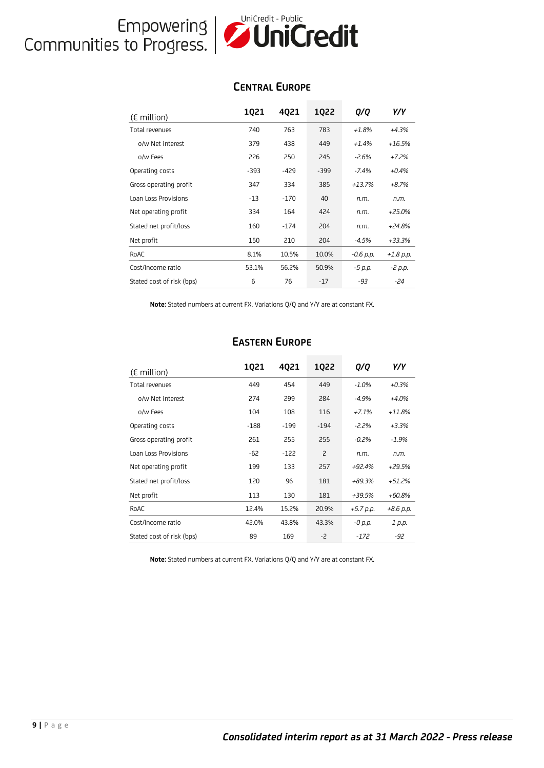# Empowering **Unicredit - Public**<br>Communities to Progress.

#### **CENTRAL EUROPE**

| $(\epsilon$ million)      | 1021  | 4021   | 1022  | Q/Q         | Y/Y         |
|---------------------------|-------|--------|-------|-------------|-------------|
| Total revenues            | 740   | 763    | 783   | $+1.8%$     | $+4.3%$     |
| o/w Net interest          | 379   | 438    | 449   | $+1.4%$     | $+16.5%$    |
| o/w Fees                  | 226   | 250    | 245   | $-2.6%$     | $+7.2%$     |
| Operating costs           | -393  | $-429$ | -399  | $-7.4%$     | $+0.4%$     |
| Gross operating profit    | 347   | 334    | 385   | $+13.7%$    | $+8.7%$     |
| Loan Loss Provisions      | $-13$ | $-170$ | 40    | n.m.        | n.m.        |
| Net operating profit      | 334   | 164    | 424   | n.m.        | $+25.0%$    |
| Stated net profit/loss    | 160   | $-174$ | 204   | n.m.        | $+24.8%$    |
| Net profit                | 150   | 210    | 204   | $-4.5%$     | +33.3%      |
| RoAC                      | 8.1%  | 10.5%  | 10.0% | $-0.6$ p.p. | $+1.8$ p.p. |
| Cost/income ratio         | 53.1% | 56.2%  | 50.9% | -5 p.p.     | -2 p.p.     |
| Stated cost of risk (bps) | 6     | 76     | $-17$ | -93         | -24         |

**Note:** Stated numbers at current FX. Variations Q/Q and Y/Y are at constant FX.

| $(\epsilon$ million)      | 1021   | 4021   | 1022           | Q/Q         | Y/Y         |
|---------------------------|--------|--------|----------------|-------------|-------------|
| Total revenues            | 449    | 454    | 449            | $-1.0%$     | $+0.3%$     |
| o/w Net interest          | 274    | 299    | 284            | $-4.9%$     | $+4.0%$     |
| o/w Fees                  | 104    | 108    | 116            | $+7.1%$     | $+11.8%$    |
| Operating costs           | $-188$ | $-199$ | $-194$         | $-2.2%$     | $+3.3%$     |
| Gross operating profit    | 261    | 255    | 255            | $-0.2\%$    | $-1.9%$     |
| Loan Loss Provisions      | -62    | $-122$ | $\overline{c}$ | n.m.        | n.m.        |
| Net operating profit      | 199    | 133    | 257            | $+92.4%$    | $+29.5%$    |
| Stated net profit/loss    | 120    | 96     | 181            | $+89.3%$    | $+51.2%$    |
| Net profit                | 113    | 130    | 181            | +39.5%      | +60.8%      |
| RoAC                      | 12.4%  | 15.2%  | 20.9%          | $+5.7$ p.p. | $+8.6$ p.p. |
| Cost/income ratio         | 42.0%  | 43.8%  | 43.3%          | $-0$ p.p.   | 1 p.p.      |
| Stated cost of risk (bps) | 89     | 169    | -2             | $-172$      | -92         |

#### **EASTERN EUROPE**

**Note:** Stated numbers at current FX. Variations Q/Q and Y/Y are at constant FX.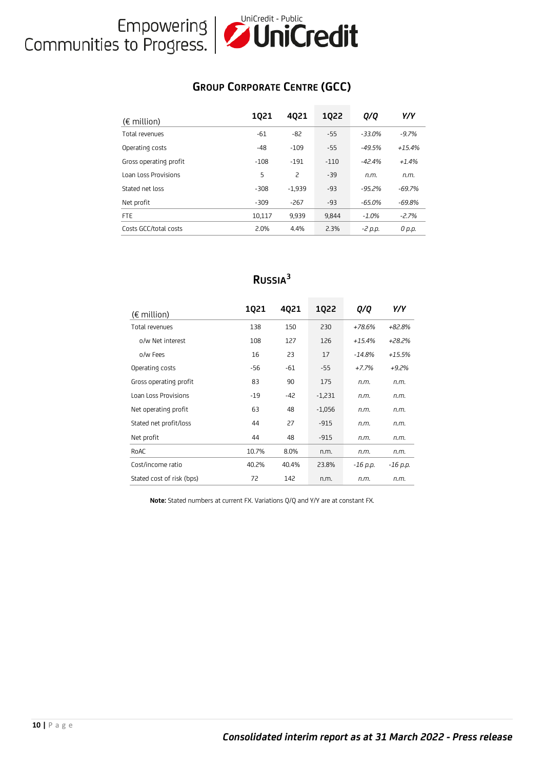# Empowering **Unicredit - Public**<br>Communities to Progress.

### **GROUP CORPORATE CENTRE (GCC)**

| $(\epsilon$ million)        | 1021   | 4021           | 1022   | Q/Q      | Y/Y      |
|-----------------------------|--------|----------------|--------|----------|----------|
| Total revenues              | $-61$  | $-82$          | $-55$  | $-33.0%$ | $-9.7%$  |
| Operating costs             | $-48$  | $-109$         | $-55$  | $-49.5%$ | $+15.4%$ |
| Gross operating profit      | $-108$ | $-191$         | $-110$ | $-42.4%$ | $+1.4%$  |
| <b>Loan Loss Provisions</b> | 5      | $\overline{c}$ | $-39$  | n.m.     | n.m.     |
| Stated net loss             | $-308$ | $-1.939$       | $-93$  | $-95.2%$ | $-69.7%$ |
| Net profit                  | $-309$ | $-267$         | $-93$  | $-65.0%$ | $-69.8%$ |
| <b>FTE</b>                  | 10,117 | 9.939          | 9.844  | $-1.0%$  | $-2.7%$  |
| Costs GCC/total costs       | 2.0%   | 4.4%           | 2.3%   | -2 p.p.  | 0 p.p.   |

### **RUSSIA<sup>3</sup>**

| $(\epsilon$ million)      | 1Q21  | 4021  | <b>1Q22</b> | Q/Q       | Y/Y      |
|---------------------------|-------|-------|-------------|-----------|----------|
| Total revenues            | 138   | 150   | 230         | $+78.6%$  | $+82.8%$ |
| o/w Net interest          | 108   | 127   | 126         | $+15.4%$  | +28.2%   |
| o/w Fees                  | 16    | 23    | 17          | $-14.8\%$ | $+15.5%$ |
| Operating costs           | $-56$ | $-61$ | $-55$       | $+7.7%$   | $+9.2%$  |
| Gross operating profit    | 83    | 90    | 175         | n.m.      | n.m.     |
| Loan Loss Provisions      | $-19$ | -42   | $-1,231$    | n.m.      | n.m.     |
| Net operating profit      | 63    | 48    | $-1,056$    | n.m.      | n.m.     |
| Stated net profit/loss    | 44    | 27    | $-915$      | n.m.      | n.m.     |
| Net profit                | 44    | 48    | $-915$      | n.m.      | n.m.     |
| RoAC                      | 10.7% | 8.0%  | n.m.        | n.m.      | n.m.     |
| Cost/income ratio         | 40.2% | 40.4% | 23.8%       | -16 p.p.  | -16 p.p. |
| Stated cost of risk (bps) | 72    | 142   | n.m.        | n.m.      | n.m.     |

**Note:** Stated numbers at current FX. Variations Q/Q and Y/Y are at constant FX.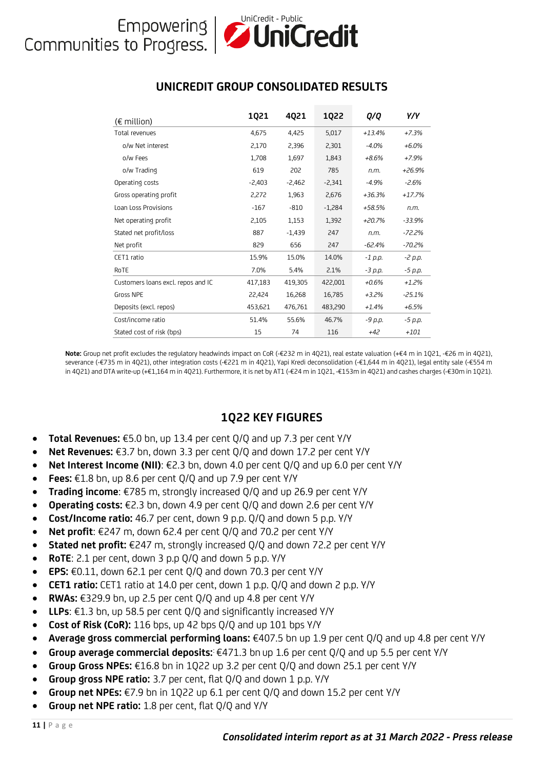#### **UNICREDIT GROUP CONSOLIDATED RESULTS**

|           | (€ million)                                                                                    | 1Q21                    | 4Q21     | <b>1Q22</b> | Q/Q      | Y/Y      |
|-----------|------------------------------------------------------------------------------------------------|-------------------------|----------|-------------|----------|----------|
|           | Total revenues                                                                                 | 4,675                   | 4,425    | 5,017       | +13.4%   | $+7.3%$  |
|           | o/w Net interest                                                                               | 2,170                   | 2,396    | 2,301       | $-4.0%$  | $+6.0\%$ |
|           | o/w Fees                                                                                       | 1,708                   | 1,697    | 1,843       | +8.6%    | $+7.9%$  |
|           | o/w Trading                                                                                    | 619                     | 202      | 785         | n.m.     | +26.9%   |
|           | Operating costs                                                                                | $-2,403$                | -2,462   | $-2,341$    | $-4.9%$  | $-2.6%$  |
|           | Gross operating profit                                                                         | 2,272                   | 1,963    | 2,676       | +36.3%   | +17.7%   |
|           | Loan Loss Provisions                                                                           | $-167$                  | $-810$   | $-1,284$    | +58.5%   | n.m.     |
|           | Net operating profit                                                                           | 2,105                   | 1,153    | 1,392       | +20.7%   | $-33.9%$ |
|           | Stated net profit/loss                                                                         | 887                     | $-1,439$ | 247         | n.m.     | -72.2%   |
|           | Net profit                                                                                     | 829                     | 656      | 247         | -62.4%   | $-70.2%$ |
|           | CET1 ratio                                                                                     | 15.9%                   | 15.0%    | 14.0%       | -1 p.p.  | -2 p.p.  |
|           | RoTE                                                                                           | 7.0%                    | 5.4%     | 2.1%        | -3 р.р.  | -5 р.р.  |
|           | Customers loans excl. repos and IC                                                             | 417,183                 | 419,305  | 422,001     | +0.6%    | $+1.2%$  |
|           | Gross NPE                                                                                      | 22,424                  | 16,268   | 16,785      | +3.2%    | $-25.1%$ |
|           | Deposits (excl. repos)                                                                         | 453,621                 | 476,761  | 483,290     | $+1.4\%$ | $+6.5%$  |
|           | Cost/income ratio                                                                              | 51.4%                   | 55.6%    | 46.7%       | -9 р.р.  | -5 p.p.  |
|           | Stated cost of risk (bps)                                                                      | 15                      | 74       | 116         | +42      | +101     |
| $\bullet$ | Total Revenues: $£5.0$ bn, up 13.4 per cent Q/Q and up 7.3 per cent Y/Y                        | <b>1Q22 KEY FIGURES</b> |          |             |          |          |
| $\bullet$ | Net Revenues: $\epsilon$ 3.7 bn, down 3.3 per cent Q/Q and down 17.2 per cent Y/Y              |                         |          |             |          |          |
| $\bullet$ | <b>Net Interest Income (NII):</b> €2.3 bn, down 4.0 per cent Q/Q and up 6.0 per cent Y/Y       |                         |          |             |          |          |
| $\bullet$ | Fees: $£1.8$ bn, up 8.6 per cent Q/Q and up 7.9 per cent Y/Y                                   |                         |          |             |          |          |
| $\bullet$ | <b>Trading income:</b> $\epsilon$ 785 m, strongly increased Q/Q and up 26.9 per cent Y/Y       |                         |          |             |          |          |
| $\bullet$ | <b>Operating costs:</b> €2.3 bn, down 4.9 per cent $Q/Q$ and down 2.6 per cent Y/Y             |                         |          |             |          |          |
| $\bullet$ | Cost/Income ratio: 46.7 per cent, down 9 p.p. Q/Q and down 5 p.p. Y/Y                          |                         |          |             |          |          |
| $\bullet$ | Net profit: $\epsilon$ 247 m, down 62.4 per cent Q/Q and 70.2 per cent Y/Y                     |                         |          |             |          |          |
| $\bullet$ | Stated net profit: €247 m, strongly increased Q/Q and down 72.2 per cent Y/Y                   |                         |          |             |          |          |
| $\bullet$ | <b>RoTE:</b> 2.1 per cent, down 3 p.p $Q/Q$ and down 5 p.p. $Y/Y$                              |                         |          |             |          |          |
| $\bullet$ | <b>EPS:</b> €0.11, down 62.1 per cent Q/Q and down 70.3 per cent Y/Y                           |                         |          |             |          |          |
| $\bullet$ | CET1 ratio: CET1 ratio at 14.0 per cent, down 1 p.p. Q/Q and down 2 p.p. Y/Y                   |                         |          |             |          |          |
| $\bullet$ | <b>RWAs:</b> €329.9 bn, up 2.5 per cent $Q/Q$ and up 4.8 per cent $Y/Y$                        |                         |          |             |          |          |
| $\bullet$ | <b>LLPs:</b> €1.3 bn, up 58.5 per cent Q/Q and significantly increased Y/Y                     |                         |          |             |          |          |
| $\bullet$ | Cost of Risk (CoR): 116 bps, up 42 bps Q/Q and up 101 bps Y/Y                                  |                         |          |             |          |          |
| $\bullet$ | Average gross commercial performing loans: €407.5 bn up 1.9 per cent Q/Q and up 4.8            |                         |          |             |          |          |
| $\bullet$ | Group average commercial deposits: $\epsilon$ 471.3 bn up 1.6 per cent Q/Q and up 5.5 per cent |                         |          |             |          |          |
| $\bullet$ | Group Gross NPEs: $E16.8$ bn in 1Q22 up 3.2 per cent Q/Q and down 25.1 per cent Y/Y            |                         |          |             |          |          |
| $\bullet$ | Group gross NPE ratio: 3.7 per cent, flat Q/Q and down 1 p.p. Y/Y                              |                         |          |             |          |          |
| $\bullet$ | Group net NPEs: $\epsilon$ 7.9 bn in 1Q22 up 6.1 per cent Q/Q and down 15.2 per cent Y/Y       |                         |          |             |          |          |
| $\bullet$ | Group net NPE ratio: 1.8 per cent, flat Q/Q and Y/Y                                            |                         |          |             |          |          |
|           |                                                                                                |                         |          |             |          |          |

**Note:** Group net profit excludes the regulatory headwinds impact on CoR (-€232 m in 4Q21), real estate valuation (+€4 m in 1Q21, -€26 m in 4Q21), severance (-€735 m in 4Q21), other integration costs (-€221 m in 4Q21), Yapi Kredi deconsolidation (-€1,644 m in 4Q21), legal entity sale (-€554 m in 4Q21) and DTA write-up (+€1,164 m in 4Q21). Furthermore, it is net by AT1 (-€24 m in 1Q21, -€153m in 4Q21) and cashes charges (-€30m in 1Q21).

### **1Q22 KEY FIGURES**

- **Total Revenues:** €5.0 bn, up 13.4 per cent Q/Q and up 7.3 per cent Y/Y
- **Net Revenues:** €3.7 bn, down 3.3 per cent Q/Q and down 17.2 per cent Y/Y
- **Net Interest Income (NII)**: €2.3 bn, down 4.0 per cent Q/Q and up 6.0 per cent Y/Y
- **Fees:**  $\epsilon$ 1.8 bn, up 8.6 per cent  $Q/Q$  and up 7.9 per cent  $Y/Y$
- **Trading income**: €785 m, strongly increased Q/Q and up 26.9 per cent Y/Y
- **Operating costs:** €2.3 bn, down 4.9 per cent Q/Q and down 2.6 per cent Y/Y
- **Cost/Income ratio:** 46.7 per cent, down 9 p.p. Q/Q and down 5 p.p. Y/Y
- **Net profit**: €247 m, down 62.4 per cent Q/Q and 70.2 per cent Y/Y
- **Stated net profit:** €247 m, strongly increased Q/Q and down 72.2 per cent Y/Y
- **RoTE**: 2.1 per cent, down 3 p.p Q/Q and down 5 p.p. Y/Y
- **EPS:** €0.11, down 62.1 per cent Q/Q and down 70.3 per cent Y/Y
- **CET1 ratio:** CET1 ratio at 14.0 per cent, down 1 p.p. Q/Q and down 2 p.p. Y/Y
- **RWAs:** €329.9 bn, up 2.5 per cent Q/Q and up 4.8 per cent Y/Y
- **LLPs:** €1.3 bn, up 58.5 per cent  $Q/Q$  and significantly increased  $Y/Y$
- **Cost of Risk (CoR):** 116 bps, up 42 bps Q/Q and up 101 bps Y/Y
- **Average gross commercial performing loans:** €407.5 bn up 1.9 per cent Q/Q and up 4.8 per cent Y/Y
- **Group average commercial deposits:** €471.3 bn up 1.6 per cent Q/Q and up 5.5 per cent Y/Y
- **Group Gross NPEs:** €16.8 bn in 1Q22 up 3.2 per cent Q/Q and down 25.1 per cent Y/Y
- **Group gross NPE ratio:** 3.7 per cent, flat Q/Q and down 1 p.p. Y/Y
- **Group net NPEs:** €7.9 bn in 1Q22 up 6.1 per cent Q/Q and down 15.2 per cent Y/Y
-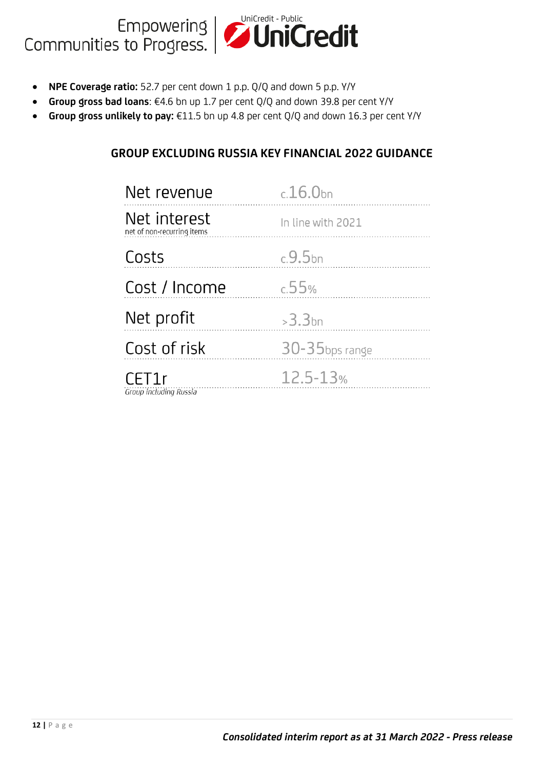# Empowering **UniCredit - Public**<br>Communities to Progress.

- **NPE Coverage ratio:** 52.7 per cent down 1 p.p. Q/Q and down 5 p.p. Y/Y
- **Group gross bad loans**: €4.6 bn up 1.7 per cent Q/Q and down 39.8 per cent Y/Y
- **Group gross unlikely to pay:** €11.5 bn up 4.8 per cent Q/Q and down 16.3 per cent Y/Y

### **GROUP EXCLUDING RUSSIA KEY FINANCIAL 2022 GUIDANCE**

| Net revenue                                | $c.16.0$ bn       |
|--------------------------------------------|-------------------|
| Net interest<br>net of non-recurring items | In line with 2021 |
| Costs                                      | $c.9.5$ bn        |
| Cost / Income                              | c.55%             |
| Net profit                                 | $>3.3$ bn         |
| Cost of risk                               | 30-35bps range    |
| CET1r<br>Group including Russia            | 12.5-13%          |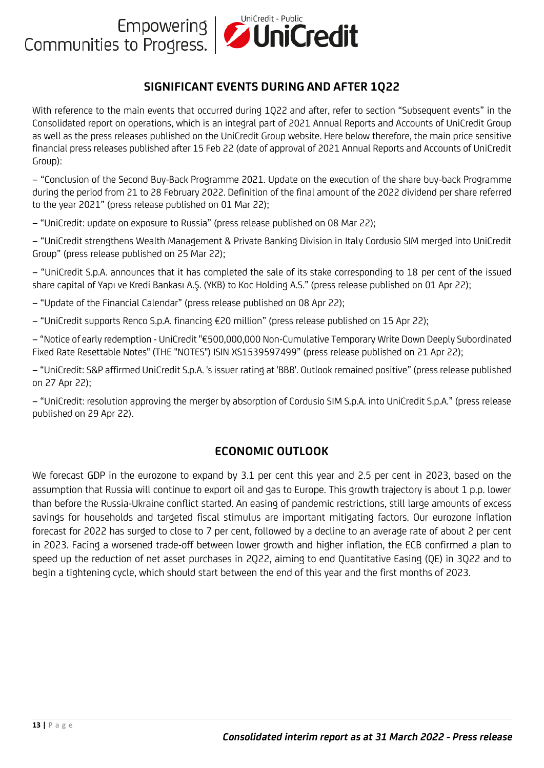### **SIGNIFICANT EVENTS DURING AND AFTER 1Q22**

With reference to the main events that occurred during 1Q22 and after, refer to section "Subsequent events" in the Consolidated report on operations, which is an integral part of 2021 Annual Reports and Accounts of UniCredit Group as well as the press releases published on the UniCredit Group website. Here below therefore, the main price sensitive financial press releases published after 15 Feb 22 (date of approval of 2021 Annual Reports and Accounts of UniCredit Group):

− "Conclusion of the Second Buy-Back Programme 2021. Update on the execution of the share buy-back Programme during the period from 21 to 28 February 2022. Definition of the final amount of the 2022 dividend per share referred to the year 2021" (press release published on 01 Mar 22);

− "UniCredit: update on exposure to Russia" (press release published on 08 Mar 22);

− "UniCredit strengthens Wealth Management & Private Banking Division in Italy Cordusio SIM merged into UniCredit Group" (press release published on 25 Mar 22);

− "UniCredit S.p.A. announces that it has completed the sale of its stake corresponding to 18 per cent of the issued share capital of Yapı ve Kredi Bankası A.Ş. (YKB) to Koc Holding A.S." (press release published on 01 Apr 22);

− "Update of the Financial Calendar" (press release published on 08 Apr 22);

− "UniCredit supports Renco S.p.A. financing €20 million" (press release published on 15 Apr 22);

− "Notice of early redemption - UniCredit "€500,000,000 Non-Cumulative Temporary Write Down Deeply Subordinated Fixed Rate Resettable Notes" (THE "NOTES") ISIN XS1539597499" (press release published on 21 Apr 22);

− "UniCredit: S&P affirmed UniCredit S.p.A. 's issuer rating at 'BBB'. Outlook remained positive" (press release published on 27 Apr 22);

− "UniCredit: resolution approving the merger by absorption of Cordusio SIM S.p.A. into UniCredit S.p.A." (press release published on 29 Apr 22).

#### **ECONOMIC OUTLOOK**

We forecast GDP in the eurozone to expand by 3.1 per cent this year and 2.5 per cent in 2023, based on the assumption that Russia will continue to export oil and gas to Europe. This growth trajectory is about 1 p.p. lower than before the Russia-Ukraine conflict started. An easing of pandemic restrictions, still large amounts of excess savings for households and targeted fiscal stimulus are important mitigating factors. Our eurozone inflation forecast for 2022 has surged to close to 7 per cent, followed by a decline to an average rate of about 2 per cent in 2023. Facing a worsened trade-off between lower growth and higher inflation, the ECB confirmed a plan to speed up the reduction of net asset purchases in 2Q22, aiming to end Quantitative Easing (QE) in 3Q22 and to begin a tightening cycle, which should start between the end of this year and the first months of 2023.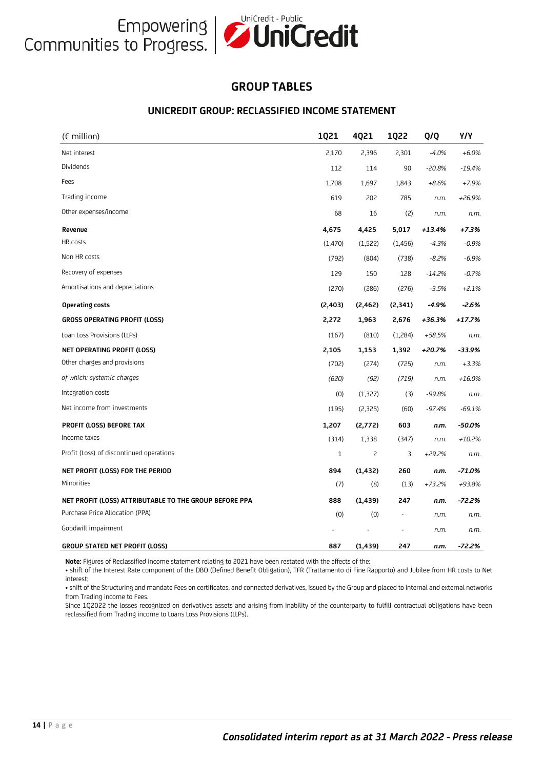#### **GROUP TABLES**

#### **UNICREDIT GROUP: RECLASSIFIED INCOME STATEMENT**

| $(\epsilon$ million)                                   | <b>1Q21</b> | 4Q21     | <b>1Q22</b>              | Q/Q      | Y/Y      |
|--------------------------------------------------------|-------------|----------|--------------------------|----------|----------|
| Net interest                                           | 2,170       | 2,396    | 2,301                    | $-4.0%$  | $+6.0%$  |
| Dividends                                              | 112         | 114      | 90                       | $-20.8%$ | $-19.4%$ |
| Fees                                                   | 1,708       | 1,697    | 1,843                    | $+8.6%$  | $+7.9%$  |
| Trading income                                         | 619         | 202      | 785                      | n.m.     | +26.9%   |
| Other expenses/income                                  | 68          | 16       | (2)                      | n.m.     | n.m.     |
| Revenue                                                | 4,675       | 4,425    | 5,017                    | $+13.4%$ | +7.3%    |
| HR costs                                               | (1,470)     | (1,522)  | (1, 456)                 | $-4.3%$  | $-0.9%$  |
| Non HR costs                                           | (792)       | (804)    | (738)                    | $-8.2%$  | $-6.9%$  |
| Recovery of expenses                                   | 129         | 150      | 128                      | $-14.2%$ | $-0.7%$  |
| Amortisations and depreciations                        | (270)       | (286)    | (276)                    | $-3.5%$  | $+2.1%$  |
| Operating costs                                        | (2, 403)    | (2, 462) | (2, 341)                 | $-4.9%$  | $-2.6%$  |
| <b>GROSS OPERATING PROFIT (LOSS)</b>                   | 2,272       | 1,963    | 2,676                    | +36.3%   | $+17.7%$ |
| Loan Loss Provisions (LLPs)                            | (167)       | (810)    | (1,284)                  | +58.5%   | n.m.     |
| NET OPERATING PROFIT (LOSS)                            | 2,105       | 1,153    | 1,392                    | +20.7%   | -33.9%   |
| Other charges and provisions                           | (702)       | (274)    | (725)                    | n.m.     | $+3.3%$  |
| of which: systemic charges                             | (620)       | (92)     | (719)                    | n.m.     | $+16.0%$ |
| Integration costs                                      | (0)         | (1, 327) | (3)                      | $-99.8%$ | n.m.     |
| Net income from investments                            | (195)       | (2,325)  | (60)                     | $-97.4%$ | $-69.1%$ |
| PROFIT (LOSS) BEFORE TAX                               | 1,207       | (2,772)  | 603                      | n.m.     | $-50.0%$ |
| Income taxes                                           | (314)       | 1,338    | (347)                    | n.m.     | $+10.2%$ |
| Profit (Loss) of discontinued operations               | 1           | 2        | 3                        | +29.2%   | n.m.     |
| NET PROFIT (LOSS) FOR THE PERIOD                       | 894         | (1, 432) | 260                      | n.m.     | $-71.0%$ |
| Minorities                                             | (7)         | (8)      | (13)                     | +73.2%   | +93.8%   |
| NET PROFIT (LOSS) ATTRIBUTABLE TO THE GROUP BEFORE PPA | 888         | (1, 439) | 247                      | n.m.     | $-72.2%$ |
| Purchase Price Allocation (PPA)                        | (0)         | (0)      | $\overline{\phantom{a}}$ | n.m.     | n.m.     |
| Goodwill impairment                                    |             |          |                          | n.m.     | n.m.     |
| <b>GROUP STATED NET PROFIT (LOSS)</b>                  | 887         | (1, 439) | 247                      | n.m.     | $-72.2%$ |

**Note:** Figures of Reclassified income statement relating to 2021 have been restated with the effects of the:

• shift of the Interest Rate component of the DBO (Defined Benefit Obligation), TFR (Trattamento di Fine Rapporto) and Jubilee from HR costs to Net interest;

• shift of the Structuring and mandate Fees on certificates, and connected derivatives, issued by the Group and placed to internal and external networks from Trading income to Fees.

Since 1Q2022 the losses recognized on derivatives assets and arising from inability of the counterparty to fulfill contractual obligations have been reclassified from Trading income to Loans Loss Provisions (LLPs).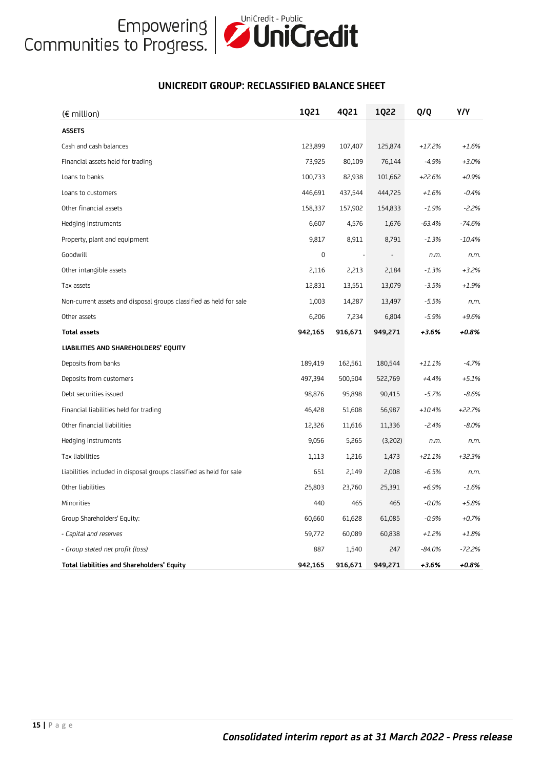

#### **UNICREDIT GROUP: RECLASSIFIED BALANCE SHEET**

| (€ million)                                                         | <b>1Q21</b> | 4Q21    | <b>1Q22</b> | Q/Q      | Y/Y      |
|---------------------------------------------------------------------|-------------|---------|-------------|----------|----------|
| <b>ASSETS</b>                                                       |             |         |             |          |          |
| Cash and cash balances                                              | 123,899     | 107,407 | 125,874     | $+17.2%$ | $+1.6%$  |
| Financial assets held for trading                                   | 73,925      | 80,109  | 76,144      | $-4.9%$  | $+3.0%$  |
| Loans to banks                                                      | 100,733     | 82,938  | 101,662     | $+22.6%$ | $+0.9%$  |
| Loans to customers                                                  | 446,691     | 437,544 | 444,725     | $+1.6%$  | $-0.4%$  |
| Other financial assets                                              | 158,337     | 157,902 | 154,833     | $-1.9%$  | $-2.2%$  |
| Hedging instruments                                                 | 6,607       | 4,576   | 1,676       | $-63.4%$ | $-74.6%$ |
| Property, plant and equipment                                       | 9,817       | 8,911   | 8,791       | $-1.3%$  | $-10.4%$ |
| Goodwill                                                            | $\mathbf 0$ |         |             | n.m.     | n.m.     |
| Other intangible assets                                             | 2,116       | 2,213   | 2,184       | $-1.3%$  | $+3.2%$  |
| Tax assets                                                          | 12,831      | 13,551  | 13,079      | $-3.5%$  | $+1.9%$  |
| Non-current assets and disposal groups classified as held for sale  | 1,003       | 14,287  | 13,497      | $-5.5%$  | n.m.     |
| Other assets                                                        | 6,206       | 7,234   | 6,804       | $-5.9%$  | $+9.6%$  |
| <b>Total assets</b>                                                 | 942,165     | 916,671 | 949,271     | $+3.6%$  | +0.8%    |
| LIABILITIES AND SHAREHOLDERS' EQUITY                                |             |         |             |          |          |
| Deposits from banks                                                 | 189,419     | 162,561 | 180,544     | $+11.1%$ | $-4.7%$  |
| Deposits from customers                                             | 497,394     | 500,504 | 522,769     | $+4.4%$  | $+5.1%$  |
| Debt securities issued                                              | 98,876      | 95,898  | 90,415      | $-5.7%$  | $-8.6%$  |
| Financial liabilities held for trading                              | 46,428      | 51,608  | 56,987      | $+10.4%$ | $+22.7%$ |
| Other financial liabilities                                         | 12,326      | 11,616  | 11,336      | $-2.4%$  | $-8.0%$  |
| Hedging instruments                                                 | 9,056       | 5,265   | (3,202)     | n.m.     | n.m.     |
| Tax liabilities                                                     | 1,113       | 1,216   | 1,473       | $+21.1%$ | $+32.3%$ |
| Liabilities included in disposal groups classified as held for sale | 651         | 2,149   | 2,008       | $-6.5%$  | n.m.     |
| Other liabilities                                                   | 25,803      | 23,760  | 25,391      | $+6.9%$  | $-1.6%$  |
| Minorities                                                          | 440         | 465     | 465         | $-0.0%$  | $+5.8%$  |
| Group Shareholders' Equity:                                         | 60,660      | 61,628  | 61,085      | $-0.9%$  | $+0.7%$  |
| - Capital and reserves                                              | 59,772      | 60,089  | 60,838      | $+1.2%$  | $+1.8%$  |
| - Group stated net profit (loss)                                    | 887         | 1,540   | 247         | $-84.0%$ | $-72.2%$ |
| Total liabilities and Shareholders' Equity                          | 942,165     | 916,671 | 949,271     | $+3.6%$  | +0.8%    |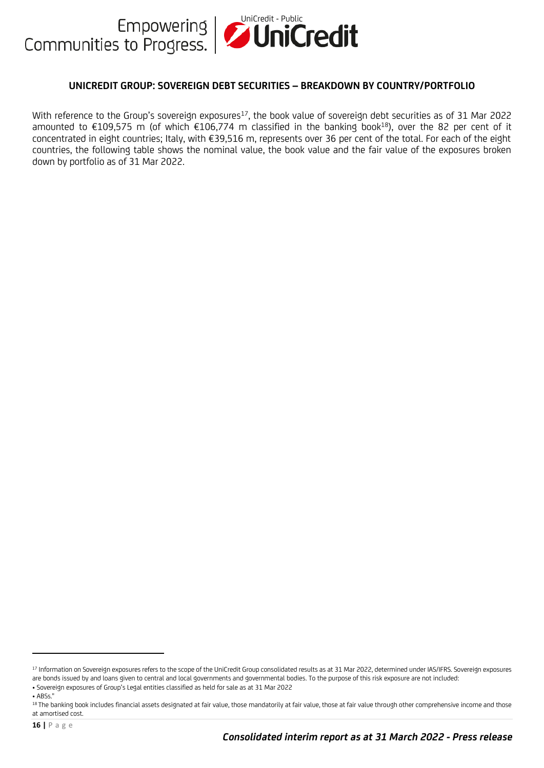

#### **UNICREDIT GROUP: SOVEREIGN DEBT SECURITIES – BREAKDOWN BY COUNTRY/PORTFOLIO**

With reference to the Group's sovereign exposures<sup>17</sup>, the book value of sovereign debt securities as of 31 Mar 2022 amounted to  $\epsilon$ 109,575 m (of which  $\epsilon$ 106,774 m classified in the banking book<sup>18</sup>), over the 82 per cent of it concentrated in eight countries; Italy, with €39,516 m, represents over 36 per cent of the total. For each of the eight countries, the following table shows the nominal value, the book value and the fair value of the exposures broken down by portfolio as of 31 Mar 2022.

<sup>17</sup> Information on Sovereign exposures refers to the scope of the UniCredit Group consolidated results as at 31 Mar 2022, determined under IAS/IFRS. Sovereign exposures are bonds issued by and loans given to central and local governments and governmental bodies. To the purpose of this risk exposure are not included: • Sovereign exposures of Group's Legal entities classified as held for sale as at 31 Mar 2022  $\triangle$  ARSs<sup>!</sup>

<sup>&</sup>lt;sup>18</sup> The banking book includes financial assets designated at fair value, those mandatorily at fair value, those at fair value through other comprehensive income and those at amortised cost.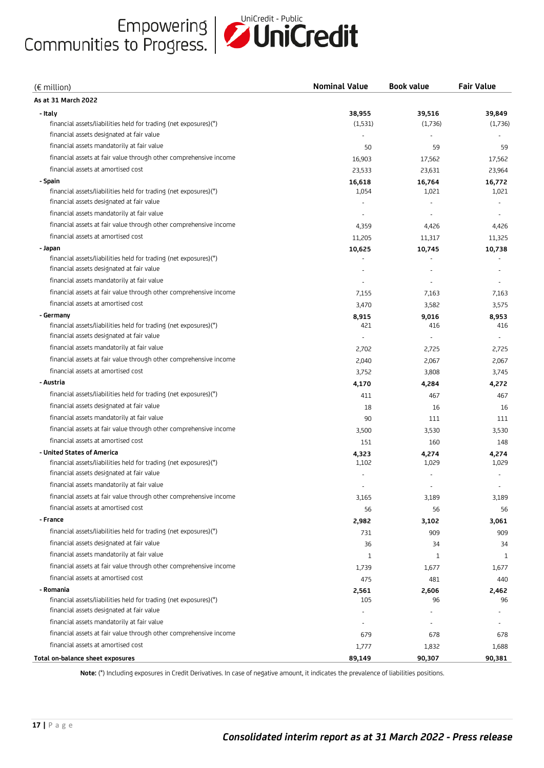

| $(\epsilon$ million)                                              | <b>Nominal Value</b> | <b>Book value</b> | <b>Fair Value</b> |
|-------------------------------------------------------------------|----------------------|-------------------|-------------------|
| As at 31 March 2022                                               |                      |                   |                   |
| - Italy                                                           | 38,955               | 39,516            | 39,849            |
| financial assets/liabilities held for trading (net exposures)(*)  | (1,531)              | (1,736)           | (1,736)           |
| financial assets designated at fair value                         |                      |                   |                   |
| financial assets mandatorily at fair value                        | 50                   | 59                | 59                |
| financial assets at fair value through other comprehensive income | 16,903               | 17,562            | 17,562            |
| financial assets at amortised cost                                | 23,533               | 23,631            | 23,964            |
| - Spain                                                           | 16,618               | 16,764            | 16,772            |
| financial assets/liabilities held for trading (net exposures)(*)  | 1,054                | 1,021             | 1,021             |
| financial assets designated at fair value                         |                      |                   |                   |
| financial assets mandatorily at fair value                        |                      |                   |                   |
| financial assets at fair value through other comprehensive income | 4,359                | 4,426             | 4,426             |
| financial assets at amortised cost                                | 11,205               | 11,317            | 11,325            |
| - Japan                                                           | 10,625               | 10,745            | 10,738            |
| financial assets/liabilities held for trading (net exposures)(*)  |                      |                   |                   |
| financial assets designated at fair value                         |                      |                   |                   |
| financial assets mandatorily at fair value                        |                      |                   |                   |
| financial assets at fair value through other comprehensive income | 7,155                | 7,163             | 7,163             |
| financial assets at amortised cost                                | 3,470                | 3,582             | 3,575             |
| - Germany                                                         | 8,915                | 9,016             | 8,953             |
| financial assets/liabilities held for trading (net exposures)(*)  | 421                  | 416               | 416               |
| financial assets designated at fair value                         |                      |                   |                   |
| financial assets mandatorily at fair value                        | 2,702                | 2,725             | 2,725             |
| financial assets at fair value through other comprehensive income | 2,040                | 2,067             | 2,067             |
| financial assets at amortised cost                                | 3,752                | 3,808             | 3,745             |
| - Austria                                                         | 4,170                | 4,284             | 4,272             |
| financial assets/liabilities held for trading (net exposures)(*)  | 411                  | 467               | 467               |
| financial assets designated at fair value                         | 18                   | 16                | 16                |
| financial assets mandatorily at fair value                        | 90                   | 111               | 111               |
| financial assets at fair value through other comprehensive income | 3,500                | 3,530             | 3,530             |
| financial assets at amortised cost                                | 151                  | 160               | 148               |
| - United States of America                                        | 4,323                | 4,274             | 4,274             |
| financial assets/liabilities held for trading (net exposures)(*)  | 1,102                | 1,029             | 1,029             |
| financial assets designated at fair value                         |                      |                   |                   |
| financial assets mandatorily at fair value                        |                      |                   |                   |
| financial assets at fair value through other comprehensive income | 3,165                | 3,189             | 3,189             |
| financial assets at amortised cost                                | 56                   | 56                | 56                |
| - France                                                          | 2,982                | 3,102             | 3,061             |
| financial assets/liabilities held for trading (net exposures)(*)  | 731                  | 909               | 909               |
| financial assets designated at fair value                         | 36                   | 34                | 34                |
| financial assets mandatorily at fair value                        | $\mathbf{1}$         | $\mathbf{1}$      | 1                 |
| financial assets at fair value through other comprehensive income | 1,739                | 1,677             | 1,677             |
| financial assets at amortised cost                                | 475                  | 481               | 440               |
| - Romania                                                         | 2,561                | 2,606             | 2,462             |
| financial assets/liabilities held for trading (net exposures)(*)  | 105                  | 96                | 96                |
| financial assets designated at fair value                         |                      |                   |                   |
| financial assets mandatorily at fair value                        |                      |                   |                   |
| financial assets at fair value through other comprehensive income | 679                  | 678               | 678               |
| financial assets at amortised cost                                | 1,777                | 1,832             | 1,688             |
| Total on-balance sheet exposures                                  | 89,149               | 90,307            | 90,381            |

**Note:** (\*) Including exposures in Credit Derivatives. In case of negative amount, it indicates the prevalence of liabilities positions.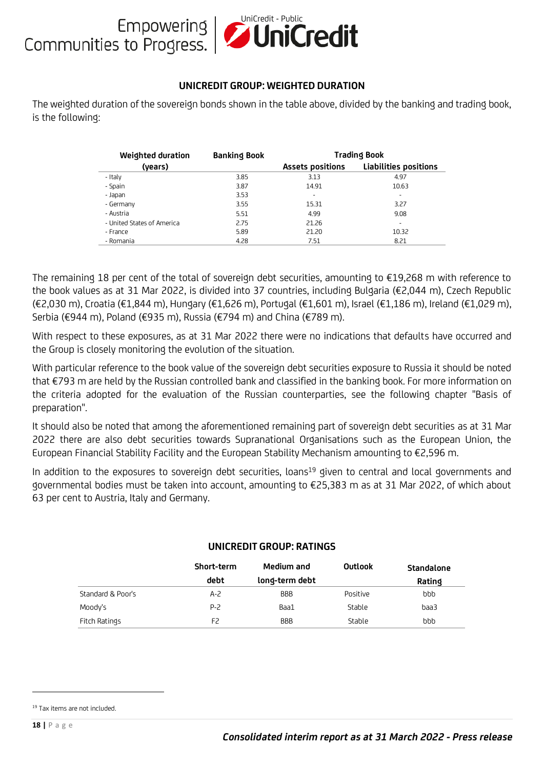# Empowering **UniCredit - Public**<br>Communities to Progress.

#### **UNICREDIT GROUP: WEIGHTED DURATION**

The weighted duration of the sovereign bonds shown in the table above, divided by the banking and trading book, is the following:

|               | <b>Weighted duration</b>                                                                                                                                                                                                                                                                                                                                                                                                                                                                                                                                                                                                                                                                                                                                                                                                                                            | <b>Banking Book</b> |                                 | <b>Trading Book</b> |                       |  |
|---------------|---------------------------------------------------------------------------------------------------------------------------------------------------------------------------------------------------------------------------------------------------------------------------------------------------------------------------------------------------------------------------------------------------------------------------------------------------------------------------------------------------------------------------------------------------------------------------------------------------------------------------------------------------------------------------------------------------------------------------------------------------------------------------------------------------------------------------------------------------------------------|---------------------|---------------------------------|---------------------|-----------------------|--|
|               | (years)                                                                                                                                                                                                                                                                                                                                                                                                                                                                                                                                                                                                                                                                                                                                                                                                                                                             |                     | <b>Assets positions</b>         |                     | Liabilities positions |  |
|               | - Italy                                                                                                                                                                                                                                                                                                                                                                                                                                                                                                                                                                                                                                                                                                                                                                                                                                                             | 3.85                | 3.13                            |                     | 4.97                  |  |
|               | - Spain                                                                                                                                                                                                                                                                                                                                                                                                                                                                                                                                                                                                                                                                                                                                                                                                                                                             | 3.87                | 14.91                           |                     | 10.63                 |  |
|               | - Japan                                                                                                                                                                                                                                                                                                                                                                                                                                                                                                                                                                                                                                                                                                                                                                                                                                                             | 3.53                |                                 |                     |                       |  |
|               | - Germany                                                                                                                                                                                                                                                                                                                                                                                                                                                                                                                                                                                                                                                                                                                                                                                                                                                           | 3.55                | 15.31                           |                     | 3.27                  |  |
|               | - Austria                                                                                                                                                                                                                                                                                                                                                                                                                                                                                                                                                                                                                                                                                                                                                                                                                                                           | 5.51<br>2.75        | 4.99                            |                     | 9.08<br>$\sim$        |  |
|               | - United States of America<br>- France                                                                                                                                                                                                                                                                                                                                                                                                                                                                                                                                                                                                                                                                                                                                                                                                                              | 5.89                | 21.26<br>21.20                  |                     | 10.32                 |  |
|               | - Romania                                                                                                                                                                                                                                                                                                                                                                                                                                                                                                                                                                                                                                                                                                                                                                                                                                                           | 4.28                | 7.51                            |                     | 8.21                  |  |
| preparation". | The remaining 18 per cent of the total of sovereign debt securities, amounting to $\in$ 19,268 m w<br>the book values as at 31 Mar 2022, is divided into 37 countries, including Bulgaria (€2,044 m),<br>(€2,030 m), Croatia (€1,844 m), Hungary (€1,626 m), Portugal (€1,601 m), Israel (€1,186 m), Irela<br>Serbia (€944 m), Poland (€935 m), Russia (€794 m) and China (€789 m).<br>With respect to these exposures, as at 31 Mar 2022 there were no indications that defaults hav<br>the Group is closely monitoring the evolution of the situation.<br>With particular reference to the book value of the sovereign debt securities exposure to Russia it s<br>that €793 m are held by the Russian controlled bank and classified in the banking book. For more<br>the criteria adopted for the evaluation of the Russian counterparties, see the following ch |                     |                                 |                     |                       |  |
|               |                                                                                                                                                                                                                                                                                                                                                                                                                                                                                                                                                                                                                                                                                                                                                                                                                                                                     |                     |                                 |                     |                       |  |
|               | It should also be noted that among the aforementioned remaining part of sovereign debt securiti<br>2022 there are also debt securities towards Supranational Organisations such as the Europ<br>European Financial Stability Facility and the European Stability Mechanism amounting to €2,596                                                                                                                                                                                                                                                                                                                                                                                                                                                                                                                                                                      |                     |                                 |                     |                       |  |
|               | In addition to the exposures to sovereign debt securities, loans <sup>19</sup> given to central and local go<br>governmental bodies must be taken into account, amounting to €25,383 m as at 31 Mar 2022,<br>63 per cent to Austria, Italy and Germany.                                                                                                                                                                                                                                                                                                                                                                                                                                                                                                                                                                                                             |                     | <b>UNICREDIT GROUP: RATINGS</b> |                     |                       |  |
|               |                                                                                                                                                                                                                                                                                                                                                                                                                                                                                                                                                                                                                                                                                                                                                                                                                                                                     |                     |                                 |                     |                       |  |
|               |                                                                                                                                                                                                                                                                                                                                                                                                                                                                                                                                                                                                                                                                                                                                                                                                                                                                     | Short-term<br>debt  | Medium and                      | <b>Outlook</b>      | Standalon             |  |
|               | Standard & Poor's                                                                                                                                                                                                                                                                                                                                                                                                                                                                                                                                                                                                                                                                                                                                                                                                                                                   | $A - 2$             | long-term debt<br><b>BBB</b>    | Positive            | Rating<br>bbb         |  |
|               | Moody's                                                                                                                                                                                                                                                                                                                                                                                                                                                                                                                                                                                                                                                                                                                                                                                                                                                             | P-2                 | Baa1                            | Stable              | baa3                  |  |

The remaining 18 per cent of the total of sovereign debt securities, amounting to €19,268 m with reference to the book values as at 31 Mar 2022, is divided into 37 countries, including Bulgaria (€2,044 m), Czech Republic (€2,030 m), Croatia (€1,844 m), Hungary (€1,626 m), Portugal (€1,601 m), Israel (€1,186 m), Ireland (€1,029 m), Serbia (€944 m), Poland (€935 m), Russia (€794 m) and China (€789 m).

With respect to these exposures, as at 31 Mar 2022 there were no indications that defaults have occurred and the Group is closely monitoring the evolution of the situation.

With particular reference to the book value of the sovereign debt securities exposure to Russia it should be noted that €793 m are held by the Russian controlled bank and classified in the banking book. For more information on the criteria adopted for the evaluation of the Russian counterparties, see the following chapter "Basis of preparation".

It should also be noted that among the aforementioned remaining part of sovereign debt securities as at 31 Mar 2022 there are also debt securities towards Supranational Organisations such as the European Union, the European Financial Stability Facility and the European Stability Mechanism amounting to €2,596 m.

In addition to the exposures to sovereign debt securities, loans<sup>19</sup> given to central and local governments and governmental bodies must be taken into account, amounting to €25,383 m as at 31 Mar 2022, of which about 63 per cent to Austria, Italy and Germany.

|                   | Short-term | Medium and     | Outlook  | Standalone |
|-------------------|------------|----------------|----------|------------|
|                   | debt       | long-term debt |          | Rating     |
| Standard & Poor's | $A - 2$    | <b>BBB</b>     | Positive | bbb        |
| Moody's           | P-2        | Baa1           | Stable   | baa3       |
| Fitch Ratings     | F2         | <b>BBB</b>     | Stable   | bbb        |

#### **UNICREDIT GROUP: RATINGS**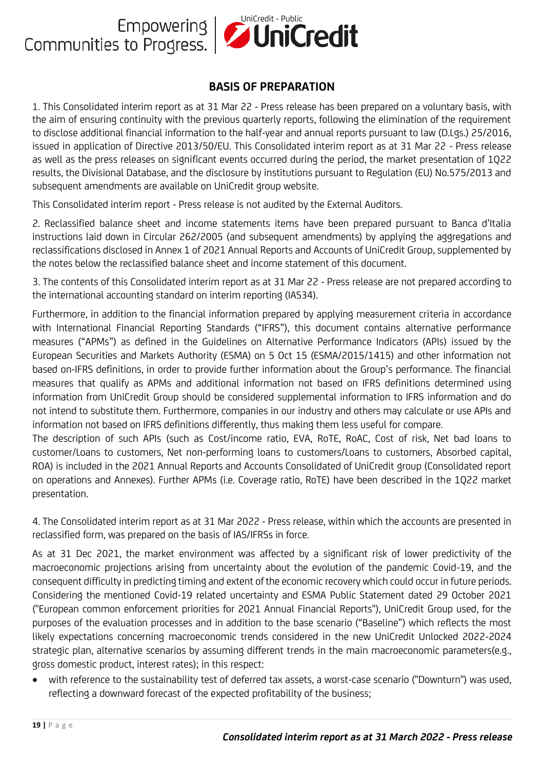

#### **BASIS OF PREPARATION**

1. This Consolidated interim report as at 31 Mar 22 - Press release has been prepared on a voluntary basis, with the aim of ensuring continuity with the previous quarterly reports, following the elimination of the requirement to disclose additional financial information to the half-year and annual reports pursuant to law (D.Lgs.) 25/2016, issued in application of Directive 2013/50/EU. This Consolidated interim report as at 31 Mar 22 - Press release as well as the press releases on significant events occurred during the period, the market presentation of 1Q22 results, the Divisional Database, and the disclosure by institutions pursuant to Regulation (EU) No.575/2013 and subsequent amendments are available on UniCredit group website.

This Consolidated interim report - Press release is not audited by the External Auditors.

2. Reclassified balance sheet and income statements items have been prepared pursuant to Banca d'Italia instructions laid down in Circular 262/2005 (and subsequent amendments) by applying the aggregations and reclassifications disclosed in Annex 1 of 2021 Annual Reports and Accounts of UniCredit Group, supplemented by the notes below the reclassified balance sheet and income statement of this document.

3. The contents of this Consolidated interim report as at 31 Mar 22 - Press release are not prepared according to the international accounting standard on interim reporting (IAS34).

Furthermore, in addition to the financial information prepared by applying measurement criteria in accordance with International Financial Reporting Standards ("IFRS"), this document contains alternative performance measures ("APMs") as defined in the Guidelines on Alternative Performance Indicators (APIs) issued by the European Securities and Markets Authority (ESMA) on 5 Oct 15 (ESMA/2015/1415) and other information not based on-IFRS definitions, in order to provide further information about the Group's performance. The financial measures that qualify as APMs and additional information not based on IFRS definitions determined using information from UniCredit Group should be considered supplemental information to IFRS information and do not intend to substitute them. Furthermore, companies in our industry and others may calculate or use APIs and information not based on IFRS definitions differently, thus making them less useful for compare.

The description of such APIs (such as Cost/income ratio, EVA, RoTE, RoAC, Cost of risk, Net bad loans to customer/Loans to customers, Net non-performing loans to customers/Loans to customers, Absorbed capital, ROA) is included in the 2021 Annual Reports and Accounts Consolidated of UniCredit group (Consolidated report on operations and Annexes). Further APMs (i.e. Coverage ratio, RoTE) have been described in the 1Q22 market presentation.

4. The Consolidated interim report as at 31 Mar 2022 - Press release, within which the accounts are presented in reclassified form, was prepared on the basis of IAS/IFRSs in force.

As at 31 Dec 2021, the market environment was affected by a significant risk of lower predictivity of the macroeconomic projections arising from uncertainty about the evolution of the pandemic Covid-19, and the consequent difficulty in predicting timing and extent of the economic recovery which could occur in future periods. Considering the mentioned Covid-19 related uncertainty and ESMA Public Statement dated 29 October 2021 ("European common enforcement priorities for 2021 Annual Financial Reports"), UniCredit Group used, for the purposes of the evaluation processes and in addition to the base scenario ("Baseline") which reflects the most likely expectations concerning macroeconomic trends considered in the new UniCredit Unlocked 2022-2024 strategic plan, alternative scenarios by assuming different trends in the main macroeconomic parameters(e.g., gross domestic product, interest rates); in this respect:

• with reference to the sustainability test of deferred tax assets, a worst-case scenario ("Downturn") was used, reflecting a downward forecast of the expected profitability of the business;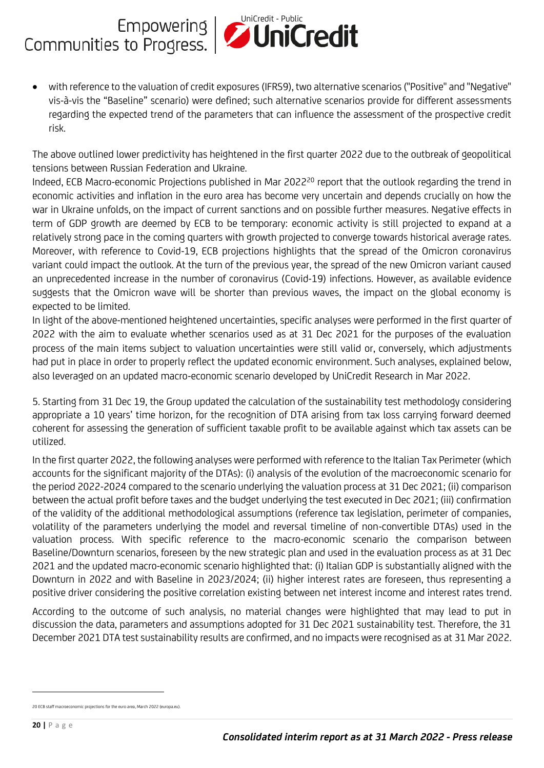

• with reference to the valuation of credit exposures (IFRS9), two alternative scenarios ("Positive" and "Negative" vis-à-vis the "Baseline" scenario) were defined; such alternative scenarios provide for different assessments regarding the expected trend of the parameters that can influence the assessment of the prospective credit risk.

The above outlined lower predictivity has heightened in the first quarter 2022 due to the outbreak of geopolitical tensions between Russian Federation and Ukraine.

Indeed, ECB Macro-economic Projections published in Mar 2022<sup>20</sup> report that the outlook regarding the trend in economic activities and inflation in the euro area has become very uncertain and depends crucially on how the war in Ukraine unfolds, on the impact of current sanctions and on possible further measures. Negative effects in term of GDP growth are deemed by ECB to be temporary: economic activity is still projected to expand at a relatively strong pace in the coming quarters with growth projected to converge towards historical average rates. Moreover, with reference to Covid-19, ECB projections highlights that the spread of the Omicron coronavirus variant could impact the outlook. At the turn of the previous year, the spread of the new Omicron variant caused an unprecedented increase in the number of coronavirus (Covid-19) infections. However, as available evidence suggests that the Omicron wave will be shorter than previous waves, the impact on the global economy is expected to be limited.

In light of the above-mentioned heightened uncertainties, specific analyses were performed in the first quarter of 2022 with the aim to evaluate whether scenarios used as at 31 Dec 2021 for the purposes of the evaluation process of the main items subject to valuation uncertainties were still valid or, conversely, which adjustments had put in place in order to properly reflect the updated economic environment. Such analyses, explained below, also leveraged on an updated macro-economic scenario developed by UniCredit Research in Mar 2022.

5. Starting from 31 Dec 19, the Group updated the calculation of the sustainability test methodology considering appropriate a 10 years' time horizon, for the recognition of DTA arising from tax loss carrying forward deemed coherent for assessing the generation of sufficient taxable profit to be available against which tax assets can be utilized.

In the first quarter 2022, the following analyses were performed with reference to the Italian Tax Perimeter (which accounts for the significant majority of the DTAs): (i) analysis of the evolution of the macroeconomic scenario for the period 2022-2024 compared to the scenario underlying the valuation process at 31 Dec 2021; (ii) comparison between the actual profit before taxes and the budget underlying the test executed in Dec 2021; (iii) confirmation of the validity of the additional methodological assumptions (reference tax legislation, perimeter of companies, volatility of the parameters underlying the model and reversal timeline of non-convertible DTAs) used in the valuation process. With specific reference to the macro-economic scenario the comparison between Baseline/Downturn scenarios, foreseen by the new strategic plan and used in the evaluation process as at 31 Dec 2021 and the updated macro-economic scenario highlighted that: (i) Italian GDP is substantially aligned with the Downturn in 2022 and with Baseline in 2023/2024; (ii) higher interest rates are foreseen, thus representing a positive driver considering the positive correlation existing between net interest income and interest rates trend.

According to the outcome of such analysis, no material changes were highlighted that may lead to put in discussion the data, parameters and assumptions adopted for 31 Dec 2021 sustainability test. Therefore, the 31 December 2021 DTA test sustainability results are confirmed, and no impacts were recognised as at 31 Mar 2022.

<sup>20</sup> ECB staff macroeconomic projections for the euro area, March 2022 (europa.eu).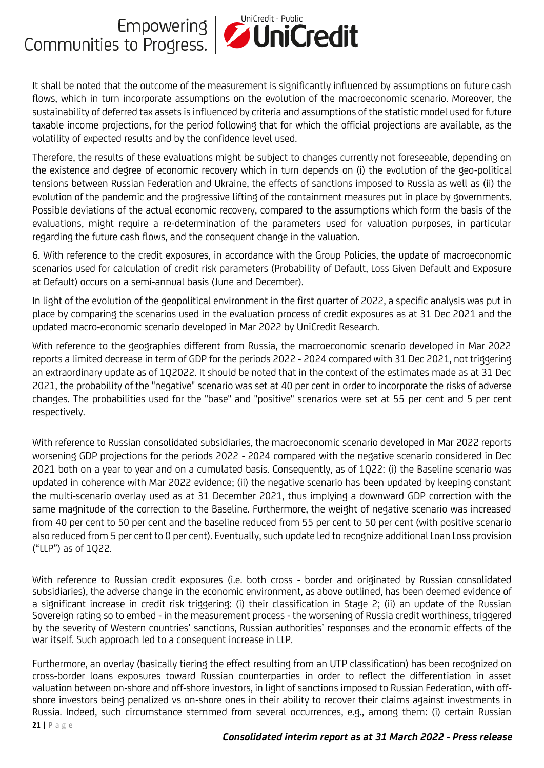

It shall be noted that the outcome of the measurement is significantly influenced by assumptions on future cash flows, which in turn incorporate assumptions on the evolution of the macroeconomic scenario. Moreover, the sustainability of deferred tax assets is influenced by criteria and assumptions of the statistic model used for future taxable income projections, for the period following that for which the official projections are available, as the volatility of expected results and by the confidence level used.

Therefore, the results of these evaluations might be subject to changes currently not foreseeable, depending on the existence and degree of economic recovery which in turn depends on (i) the evolution of the geo-political tensions between Russian Federation and Ukraine, the effects of sanctions imposed to Russia as well as (ii) the evolution of the pandemic and the progressive lifting of the containment measures put in place by governments. Possible deviations of the actual economic recovery, compared to the assumptions which form the basis of the evaluations, might require a re-determination of the parameters used for valuation purposes, in particular regarding the future cash flows, and the consequent change in the valuation.

6. With reference to the credit exposures, in accordance with the Group Policies, the update of macroeconomic scenarios used for calculation of credit risk parameters (Probability of Default, Loss Given Default and Exposure at Default) occurs on a semi-annual basis (June and December).

In light of the evolution of the geopolitical environment in the first quarter of 2022, a specific analysis was put in place by comparing the scenarios used in the evaluation process of credit exposures as at 31 Dec 2021 and the updated macro-economic scenario developed in Mar 2022 by UniCredit Research.

With reference to the geographies different from Russia, the macroeconomic scenario developed in Mar 2022 reports a limited decrease in term of GDP for the periods 2022 - 2024 compared with 31 Dec 2021, not triggering an extraordinary update as of 1Q2022. It should be noted that in the context of the estimates made as at 31 Dec 2021, the probability of the "negative" scenario was set at 40 per cent in order to incorporate the risks of adverse changes. The probabilities used for the "base" and "positive" scenarios were set at 55 per cent and 5 per cent respectively.

With reference to Russian consolidated subsidiaries, the macroeconomic scenario developed in Mar 2022 reports worsening GDP projections for the periods 2022 - 2024 compared with the negative scenario considered in Dec 2021 both on a year to year and on a cumulated basis. Consequently, as of 1Q22: (i) the Baseline scenario was updated in coherence with Mar 2022 evidence; (ii) the negative scenario has been updated by keeping constant the multi-scenario overlay used as at 31 December 2021, thus implying a downward GDP correction with the same magnitude of the correction to the Baseline. Furthermore, the weight of negative scenario was increased from 40 per cent to 50 per cent and the baseline reduced from 55 per cent to 50 per cent (with positive scenario also reduced from 5 per cent to 0 per cent). Eventually, such update led to recognize additional Loan Loss provision ("LLP") as of 1Q22.

With reference to Russian credit exposures (i.e. both cross - border and originated by Russian consolidated subsidiaries), the adverse change in the economic environment, as above outlined, has been deemed evidence of a significant increase in credit risk triggering: (i) their classification in Stage 2; (ii) an update of the Russian Sovereign rating so to embed - in the measurement process - the worsening of Russia credit worthiness, triggered by the severity of Western countries' sanctions, Russian authorities' responses and the economic effects of the war itself. Such approach led to a consequent increase in LLP.

Furthermore, an overlay (basically tiering the effect resulting from an UTP classification) has been recognized on cross-border loans exposures toward Russian counterparties in order to reflect the differentiation in asset valuation between on-shore and off-shore investors, in light of sanctions imposed to Russian Federation, with offshore investors being penalized vs on-shore ones in their ability to recover their claims against investments in Russia. Indeed, such circumstance stemmed from several occurrences, e.g., among them: (i) certain Russian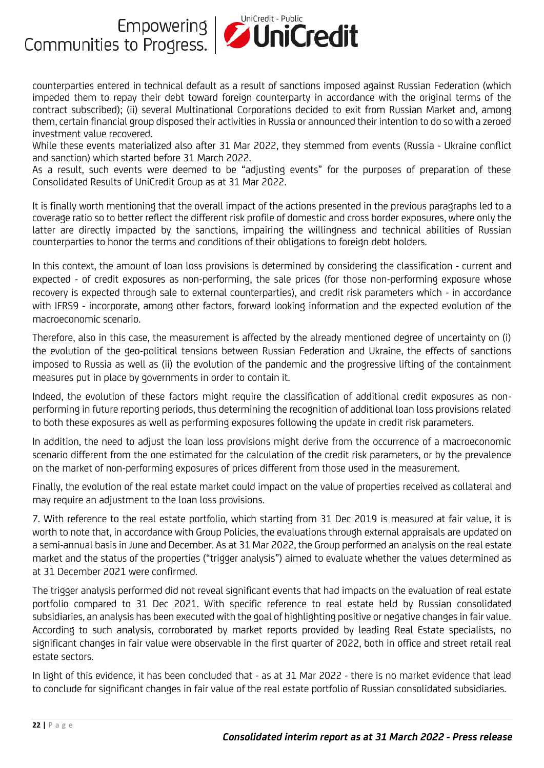

counterparties entered in technical default as a result of sanctions imposed against Russian Federation (which impeded them to repay their debt toward foreign counterparty in accordance with the original terms of the contract subscribed); (ii) several Multinational Corporations decided to exit from Russian Market and, among them, certain financial group disposed their activities in Russia or announced their intention to do so with a zeroed investment value recovered.

While these events materialized also after 31 Mar 2022, they stemmed from events (Russia - Ukraine conflict and sanction) which started before 31 March 2022.

As a result, such events were deemed to be "adjusting events" for the purposes of preparation of these Consolidated Results of UniCredit Group as at 31 Mar 2022.

It is finally worth mentioning that the overall impact of the actions presented in the previous paragraphs led to a coverage ratio so to better reflect the different risk profile of domestic and cross border exposures, where only the latter are directly impacted by the sanctions, impairing the willingness and technical abilities of Russian counterparties to honor the terms and conditions of their obligations to foreign debt holders.

In this context, the amount of loan loss provisions is determined by considering the classification - current and expected - of credit exposures as non-performing, the sale prices (for those non-performing exposure whose recovery is expected through sale to external counterparties), and credit risk parameters which - in accordance with IFRS9 - incorporate, among other factors, forward looking information and the expected evolution of the macroeconomic scenario.

Therefore, also in this case, the measurement is affected by the already mentioned degree of uncertainty on (i) the evolution of the geo-political tensions between Russian Federation and Ukraine, the effects of sanctions imposed to Russia as well as (ii) the evolution of the pandemic and the progressive lifting of the containment measures put in place by governments in order to contain it.

Indeed, the evolution of these factors might require the classification of additional credit exposures as nonperforming in future reporting periods, thus determining the recognition of additional loan loss provisions related to both these exposures as well as performing exposures following the update in credit risk parameters.

In addition, the need to adjust the loan loss provisions might derive from the occurrence of a macroeconomic scenario different from the one estimated for the calculation of the credit risk parameters, or by the prevalence on the market of non-performing exposures of prices different from those used in the measurement.

Finally, the evolution of the real estate market could impact on the value of properties received as collateral and may require an adjustment to the loan loss provisions.

7. With reference to the real estate portfolio, which starting from 31 Dec 2019 is measured at fair value, it is worth to note that, in accordance with Group Policies, the evaluations through external appraisals are updated on a semi-annual basis in June and December. As at 31 Mar 2022, the Group performed an analysis on the real estate market and the status of the properties ("trigger analysis") aimed to evaluate whether the values determined as at 31 December 2021 were confirmed.

The trigger analysis performed did not reveal significant events that had impacts on the evaluation of real estate portfolio compared to 31 Dec 2021. With specific reference to real estate held by Russian consolidated subsidiaries, an analysis has been executed with the goal of highlighting positive or negative changes in fair value. According to such analysis, corroborated by market reports provided by leading Real Estate specialists, no significant changes in fair value were observable in the first quarter of 2022, both in office and street retail real estate sectors.

In light of this evidence, it has been concluded that - as at 31 Mar 2022 - there is no market evidence that lead to conclude for significant changes in fair value of the real estate portfolio of Russian consolidated subsidiaries.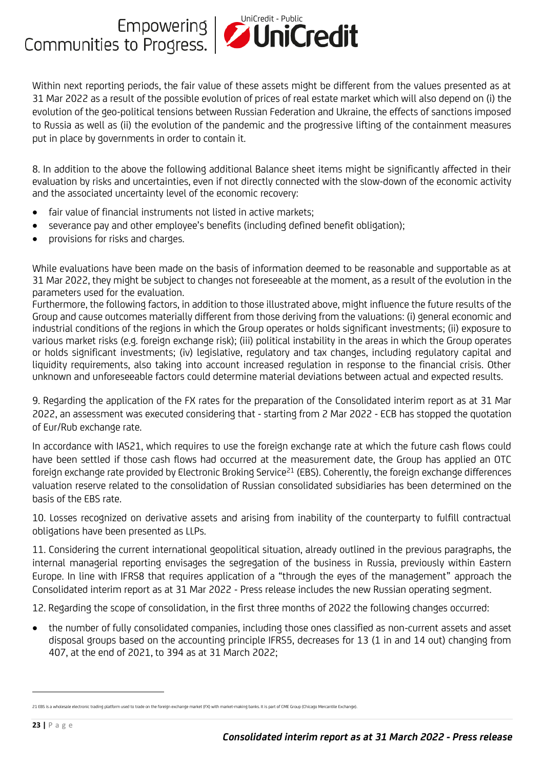

Within next reporting periods, the fair value of these assets might be different from the values presented as at 31 Mar 2022 as a result of the possible evolution of prices of real estate market which will also depend on (i) the evolution of the geo-political tensions between Russian Federation and Ukraine, the effects of sanctions imposed to Russia as well as (ii) the evolution of the pandemic and the progressive lifting of the containment measures put in place by governments in order to contain it.

8. In addition to the above the following additional Balance sheet items might be significantly affected in their evaluation by risks and uncertainties, even if not directly connected with the slow-down of the economic activity and the associated uncertainty level of the economic recovery:

- fair value of financial instruments not listed in active markets:
- severance pay and other employee's benefits (including defined benefit obligation);
- provisions for risks and charges.

While evaluations have been made on the basis of information deemed to be reasonable and supportable as at 31 Mar 2022, they might be subject to changes not foreseeable at the moment, as a result of the evolution in the parameters used for the evaluation.

Furthermore, the following factors, in addition to those illustrated above, might influence the future results of the Group and cause outcomes materially different from those deriving from the valuations: (i) general economic and industrial conditions of the regions in which the Group operates or holds significant investments; (ii) exposure to various market risks (e.g. foreign exchange risk); (iii) political instability in the areas in which the Group operates or holds significant investments; (iv) legislative, regulatory and tax changes, including regulatory capital and liquidity requirements, also taking into account increased regulation in response to the financial crisis. Other unknown and unforeseeable factors could determine material deviations between actual and expected results.

9. Regarding the application of the FX rates for the preparation of the Consolidated interim report as at 31 Mar 2022, an assessment was executed considering that - starting from 2 Mar 2022 - ECB has stopped the quotation of Eur/Rub exchange rate.

In accordance with IAS21, which requires to use the foreign exchange rate at which the future cash flows could have been settled if those cash flows had occurred at the measurement date, the Group has applied an OTC foreign exchange rate provided by Electronic Broking Service<sup>21</sup> (EBS). Coherently, the foreign exchange differences valuation reserve related to the consolidation of Russian consolidated subsidiaries has been determined on the basis of the EBS rate.

10. Losses recognized on derivative assets and arising from inability of the counterparty to fulfill contractual obligations have been presented as LLPs.

11. Considering the current international geopolitical situation, already outlined in the previous paragraphs, the internal managerial reporting envisages the segregation of the business in Russia, previously within Eastern Europe. In line with IFRS8 that requires application of a "through the eyes of the management" approach the Consolidated interim report as at 31 Mar 2022 - Press release includes the new Russian operating segment.

12. Regarding the scope of consolidation, in the first three months of 2022 the following changes occurred:

• the number of fully consolidated companies, including those ones classified as non-current assets and asset disposal groups based on the accounting principle IFRS5, decreases for 13 (1 in and 14 out) changing from 407, at the end of 2021, to 394 as at 31 March 2022;

<sup>21</sup> EBS is a wholesale electronic trading platform used to trade on the foreign exchange market (FX) with market-making banks. It is part of CME Group (Chicago Mercantile Exchange).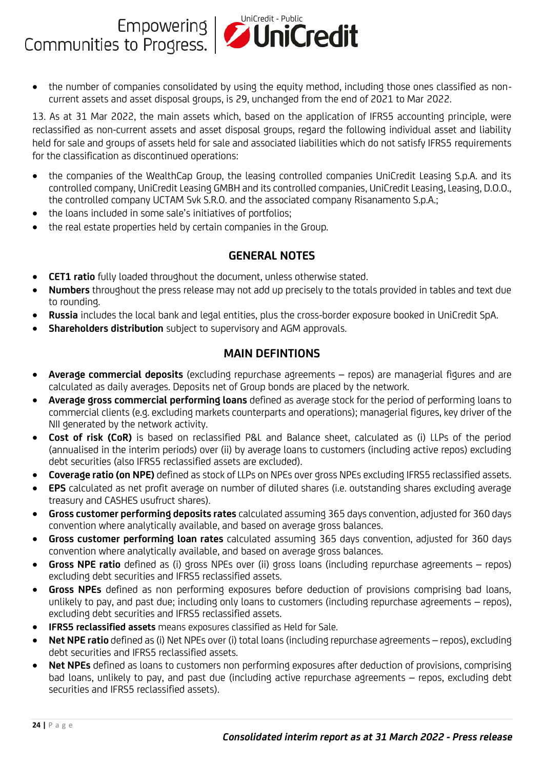

• the number of companies consolidated by using the equity method, including those ones classified as noncurrent assets and asset disposal groups, is 29, unchanged from the end of 2021 to Mar 2022.

13. As at 31 Mar 2022, the main assets which, based on the application of IFRS5 accounting principle, were reclassified as non-current assets and asset disposal groups, regard the following individual asset and liability held for sale and groups of assets held for sale and associated liabilities which do not satisfy IFRS5 requirements for the classification as discontinued operations:

- the companies of the WealthCap Group, the leasing controlled companies UniCredit Leasing S.p.A. and its controlled company, UniCredit Leasing GMBH and its controlled companies, UniCredit Leasing, Leasing, D.O.O., the controlled company UCTAM Svk S.R.O. and the associated company Risanamento S.p.A.;
- the loans included in some sale's initiatives of portfolios;
- the real estate properties held by certain companies in the Group.

#### **GENERAL NOTES**

- **CET1 ratio** fully loaded throughout the document, unless otherwise stated.
- **Numbers** throughout the press release may not add up precisely to the totals provided in tables and text due to rounding.
- **Russia** includes the local bank and legal entities, plus the cross-border exposure booked in UniCredit SpA.
- **Shareholders distribution** subject to supervisory and AGM approvals.

#### **MAIN DEFINTIONS**

- **Average commercial deposits** (excluding repurchase agreements repos) are managerial figures and are calculated as daily averages. Deposits net of Group bonds are placed by the network.
- **Average gross commercial performing loans** defined as average stock for the period of performing loans to commercial clients (e.g. excluding markets counterparts and operations); managerial figures, key driver of the NII generated by the network activity.
- **Cost of risk (CoR)** is based on reclassified P&L and Balance sheet, calculated as (i) LLPs of the period (annualised in the interim periods) over (ii) by average loans to customers (including active repos) excluding debt securities (also IFRS5 reclassified assets are excluded).
- **Coverage ratio (on NPE)** defined as stock of LLPs on NPEs over gross NPEs excluding IFRS5 reclassified assets.
- **EPS** calculated as net profit average on number of diluted shares (i.e. outstanding shares excluding average treasury and CASHES usufruct shares).
- **Gross customer performing deposits rates** calculated assuming 365 days convention, adjusted for 360 days convention where analytically available, and based on average gross balances.
- **Gross customer performing loan rates** calculated assuming 365 days convention, adjusted for 360 days convention where analytically available, and based on average gross balances.
- **Gross NPE ratio** defined as (i) gross NPEs over (ii) gross loans (including repurchase agreements repos) excluding debt securities and IFRS5 reclassified assets.
- **Gross NPEs** defined as non performing exposures before deduction of provisions comprising bad loans, unlikely to pay, and past due; including only loans to customers (including repurchase agreements – repos), excluding debt securities and IFRS5 reclassified assets.
- **IFRS5 reclassified assets** means exposures classified as Held for Sale.
- **Net NPE ratio** defined as (i) Net NPEs over (i) total loans (including repurchase agreements repos), excluding debt securities and IFRS5 reclassified assets.
- **Net NPEs** defined as loans to customers non performing exposures after deduction of provisions, comprising bad loans, unlikely to pay, and past due (including active repurchase agreements – repos, excluding debt securities and IFRS5 reclassified assets).